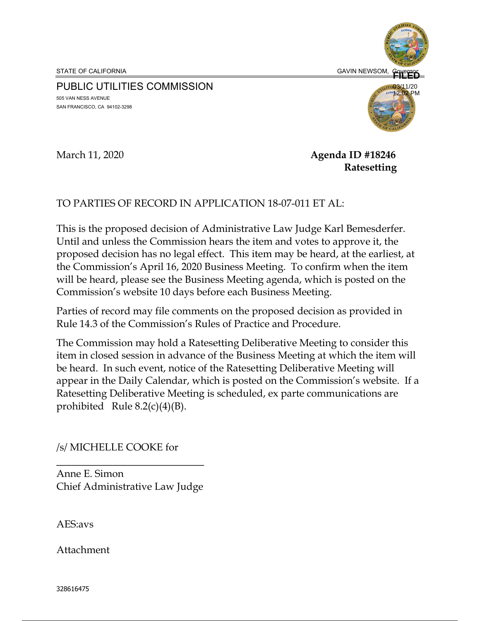STATE OF CALIFORNIA GAVIN NEWSOM, GOVERNO CONTRACT CONTRACT CONTRACT OF CALIFORNIA

**FILED** 03/11/20 12:02 PM

# PUBLIC UTILITIES COMMISSION

505 VAN NESS AVENUE SAN FRANCISCO, CA 94102-3298



March 11, 2020 **Agenda ID #18246 Ratesetting** 

# TO PARTIES OF RECORD IN APPLICATION 18-07-011 ET AL:

This is the proposed decision of Administrative Law Judge Karl Bemesderfer. Until and unless the Commission hears the item and votes to approve it, the proposed decision has no legal effect. This item may be heard, at the earliest, at the Commission's April 16, 2020 Business Meeting. To confirm when the item will be heard, please see the Business Meeting agenda, which is posted on the Commission's website 10 days before each Business Meeting.

Parties of record may file comments on the proposed decision as provided in Rule 14.3 of the Commission's Rules of Practice and Procedure.

The Commission may hold a Ratesetting Deliberative Meeting to consider this item in closed session in advance of the Business Meeting at which the item will be heard. In such event, notice of the Ratesetting Deliberative Meeting will appear in the Daily Calendar, which is posted on the Commission's website. If a Ratesetting Deliberative Meeting is scheduled, ex parte communications are prohibited Rule  $8.2(c)(4)(B)$ .

# /s/ MICHELLE COOKE for

 $\overline{\phantom{a}}$  , where  $\overline{\phantom{a}}$  , where  $\overline{\phantom{a}}$  , where  $\overline{\phantom{a}}$ Anne E. Simon Chief Administrative Law Judge

AES:avs

Attachment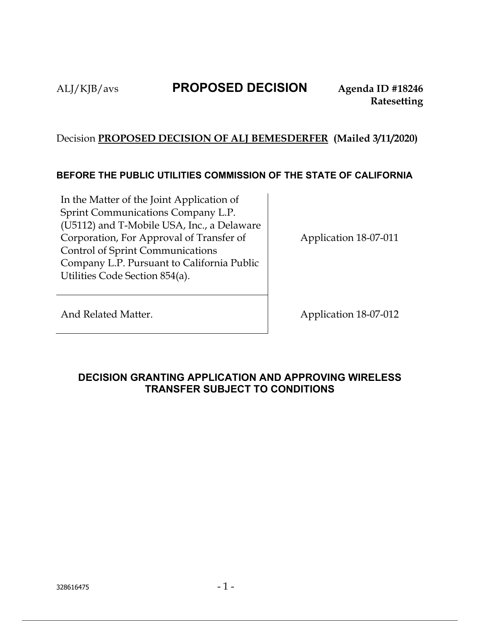# ALJ/KJB/avs **PROPOSED DECISION Agenda ID #18246**

# Decision **PROPOSED DECISION OF ALJ BEMESDERFER (Mailed 3/11/2020)**

# **BEFORE THE PUBLIC UTILITIES COMMISSION OF THE STATE OF CALIFORNIA**

In the Matter of the Joint Application of Sprint Communications Company L.P. (U5112) and T-Mobile USA, Inc., a Delaware Corporation, For Approval of Transfer of Control of Sprint Communications Company L.P. Pursuant to California Public Utilities Code Section 854(a).

Application 18-07-011

And Related Matter. Application 18-07-012

# **DECISION GRANTING APPLICATION AND APPROVING WIRELESS TRANSFER SUBJECT TO CONDITIONS**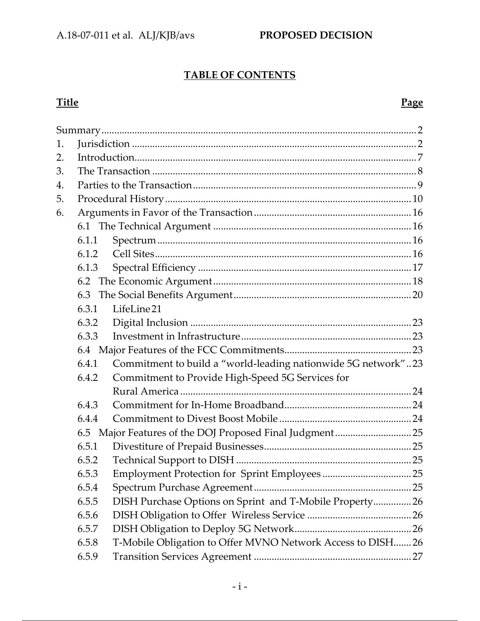# **TABLE OF CONTENTS**

### **Title Page**

| 1. |       |                                                               |  |  |  |
|----|-------|---------------------------------------------------------------|--|--|--|
| 2. |       |                                                               |  |  |  |
| 3. |       |                                                               |  |  |  |
| 4. |       |                                                               |  |  |  |
| 5. |       |                                                               |  |  |  |
| 6. |       |                                                               |  |  |  |
|    |       |                                                               |  |  |  |
|    | 6.1.1 |                                                               |  |  |  |
|    | 6.1.2 |                                                               |  |  |  |
|    | 6.1.3 |                                                               |  |  |  |
|    | 6.2   |                                                               |  |  |  |
|    | 6.3   |                                                               |  |  |  |
|    | 6.3.1 | LifeLine21                                                    |  |  |  |
|    | 6.3.2 |                                                               |  |  |  |
|    | 6.3.3 |                                                               |  |  |  |
|    |       |                                                               |  |  |  |
|    | 6.4.1 | Commitment to build a "world-leading nationwide 5G network"23 |  |  |  |
|    | 6.4.2 | Commitment to Provide High-Speed 5G Services for              |  |  |  |
|    |       |                                                               |  |  |  |
|    | 6.4.3 |                                                               |  |  |  |
|    | 6.4.4 |                                                               |  |  |  |
|    |       |                                                               |  |  |  |
|    | 6.5.1 |                                                               |  |  |  |
|    | 6.5.2 |                                                               |  |  |  |
|    | 6.5.3 |                                                               |  |  |  |
|    | 6.5.4 |                                                               |  |  |  |
|    | 6.5.5 | DISH Purchase Options on Sprint and T-Mobile Property26       |  |  |  |
|    | 6.5.6 |                                                               |  |  |  |
|    | 6.5.7 |                                                               |  |  |  |
|    | 6.5.8 | T-Mobile Obligation to Offer MVNO Network Access to DISH26    |  |  |  |
|    | 6.5.9 |                                                               |  |  |  |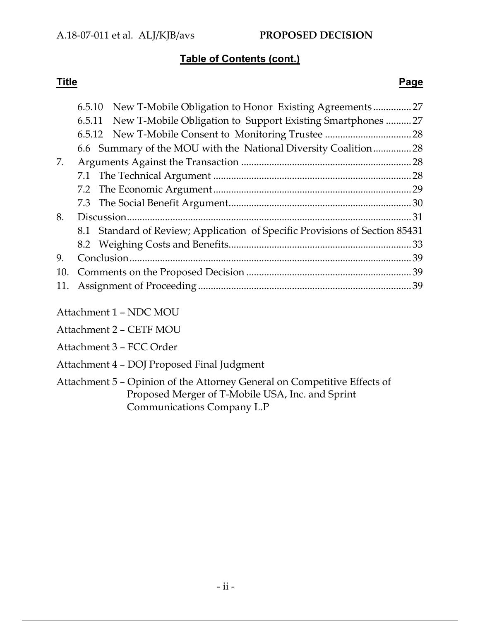# **Table of Contents (cont.)**

### **Title Page**

|     |  | 6.5.10 New T-Mobile Obligation to Honor Existing Agreements                 | 27  |  |
|-----|--|-----------------------------------------------------------------------------|-----|--|
|     |  | 6.5.11 New T-Mobile Obligation to Support Existing Smartphones              | .27 |  |
|     |  |                                                                             |     |  |
|     |  | 6.6 Summary of the MOU with the National Diversity Coalition28              |     |  |
| 7.  |  |                                                                             |     |  |
|     |  |                                                                             |     |  |
|     |  |                                                                             |     |  |
|     |  |                                                                             |     |  |
| 8.  |  |                                                                             |     |  |
|     |  | 8.1 Standard of Review; Application of Specific Provisions of Section 85431 |     |  |
|     |  |                                                                             |     |  |
| 9.  |  |                                                                             |     |  |
| 10. |  |                                                                             |     |  |
|     |  |                                                                             |     |  |
|     |  |                                                                             |     |  |
|     |  |                                                                             |     |  |

- Attachment 1 NDC MOU
- Attachment 2 CETF MOU
- Attachment 3 FCC Order
- Attachment 4 DOJ Proposed Final Judgment
- Attachment 5 Opinion of the Attorney General on Competitive Effects of Proposed Merger of T-Mobile USA, Inc. and Sprint Communications Company L.P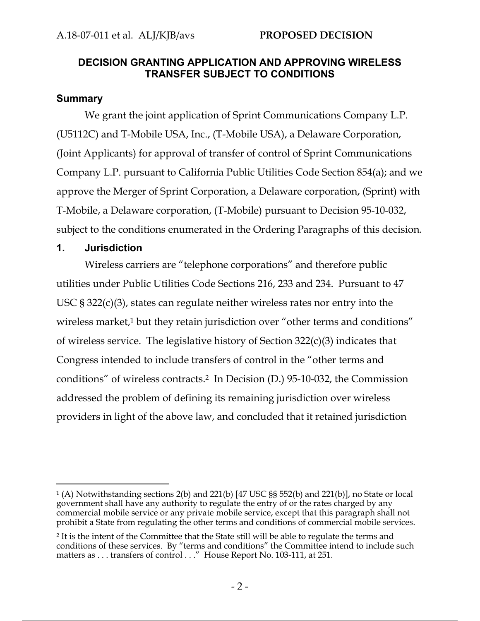### **DECISION GRANTING APPLICATION AND APPROVING WIRELESS TRANSFER SUBJECT TO CONDITIONS**

### **Summary**

We grant the joint application of Sprint Communications Company L.P. (U5112C) and T-Mobile USA, Inc., (T-Mobile USA), a Delaware Corporation, (Joint Applicants) for approval of transfer of control of Sprint Communications Company L.P. pursuant to California Public Utilities Code Section 854(a); and we approve the Merger of Sprint Corporation, a Delaware corporation, (Sprint) with T-Mobile, a Delaware corporation, (T-Mobile) pursuant to Decision 95-10-032, subject to the conditions enumerated in the Ordering Paragraphs of this decision.

### **1. Jurisdiction**

Wireless carriers are "telephone corporations" and therefore public utilities under Public Utilities Code Sections 216, 233 and 234. Pursuant to 47 USC § 322(c)(3), states can regulate neither wireless rates nor entry into the wireless market,<sup>1</sup> but they retain jurisdiction over "other terms and conditions" of wireless service. The legislative history of Section 322(c)(3) indicates that Congress intended to include transfers of control in the "other terms and conditions" of wireless contracts.2 In Decision (D.) 95-10-032, the Commission addressed the problem of defining its remaining jurisdiction over wireless providers in light of the above law, and concluded that it retained jurisdiction

<sup>1 (</sup>A) Notwithstanding sections 2(b) and 221(b) [47 USC §§ 552(b) and 221(b)], no State or local government shall have any authority to regulate the entry of or the rates charged by any commercial mobile service or any private mobile service, except that this paragraph shall not prohibit a State from regulating the other terms and conditions of commercial mobile services.

<sup>&</sup>lt;sup>2</sup> It is the intent of the Committee that the State still will be able to regulate the terms and conditions of these services. By "terms and conditions" the Committee intend to include such matters as . . . transfers of control . . ." House Report No. 103-111, at 251.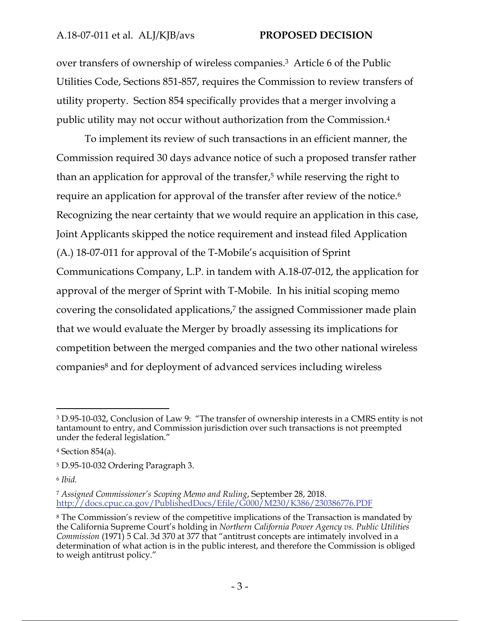### A.18‐07‐011 et al. ALJ/KJB/avs **PROPOSED DECISION**

over transfers of ownership of wireless companies.3 Article 6 of the Public Utilities Code, Sections 851-857, requires the Commission to review transfers of utility property. Section 854 specifically provides that a merger involving a public utility may not occur without authorization from the Commission.4

To implement its review of such transactions in an efficient manner, the Commission required 30 days advance notice of such a proposed transfer rather than an application for approval of the transfer,<sup>5</sup> while reserving the right to require an application for approval of the transfer after review of the notice.<sup>6</sup> Recognizing the near certainty that we would require an application in this case, Joint Applicants skipped the notice requirement and instead filed Application (A.) 18-07-011 for approval of the T-Mobile's acquisition of Sprint Communications Company, L.P. in tandem with A.18-07-012, the application for approval of the merger of Sprint with T-Mobile. In his initial scoping memo covering the consolidated applications,<sup>7</sup> the assigned Commissioner made plain that we would evaluate the Merger by broadly assessing its implications for competition between the merged companies and the two other national wireless companies<sup>8</sup> and for deployment of advanced services including wireless

<sup>3</sup> D.95-10-032, Conclusion of Law 9: "The transfer of ownership interests in a CMRS entity is not tantamount to entry, and Commission jurisdiction over such transactions is not preempted under the federal legislation."

<sup>4</sup> Section 854(a).

<sup>5</sup> D.95-10-032 Ordering Paragraph 3.

<sup>6</sup> *Ibid.* 

<sup>7</sup> *Assigned Commissioner's Scoping Memo and Ruling*, September 28, 2018. http://docs.cpuc.ca.gov/PublishedDocs/Efile/G000/M230/K386/230386776.PDF

<sup>8</sup> The Commission's review of the competitive implications of the Transaction is mandated by the California Supreme Court's holding in *Northern California Power Agency vs. Public Utilities Commission* (1971) 5 Cal. 3d 370 at 377 that "antitrust concepts are intimately involved in a determination of what action is in the public interest, and therefore the Commission is obliged to weigh antitrust policy."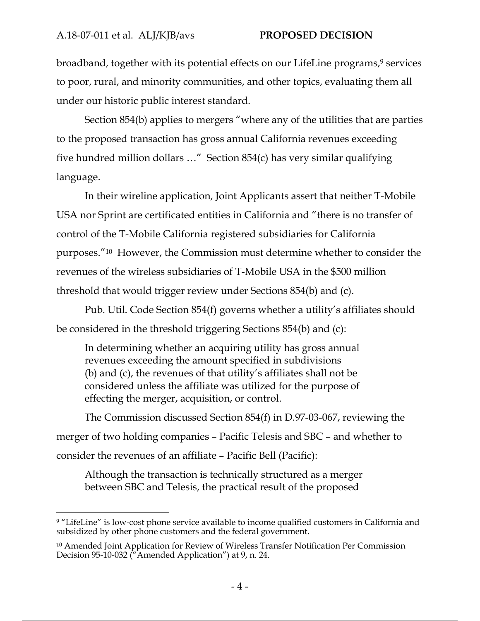broadband, together with its potential effects on our LifeLine programs,<sup>9</sup> services to poor, rural, and minority communities, and other topics, evaluating them all under our historic public interest standard.

Section 854(b) applies to mergers "where any of the utilities that are parties to the proposed transaction has gross annual California revenues exceeding five hundred million dollars …" Section 854(c) has very similar qualifying language.

In their wireline application, Joint Applicants assert that neither T-Mobile USA nor Sprint are certificated entities in California and "there is no transfer of control of the T-Mobile California registered subsidiaries for California purposes."10 However, the Commission must determine whether to consider the revenues of the wireless subsidiaries of T-Mobile USA in the \$500 million threshold that would trigger review under Sections 854(b) and (c).

Pub. Util. Code Section 854(f) governs whether a utility's affiliates should be considered in the threshold triggering Sections 854(b) and (c):

In determining whether an acquiring utility has gross annual revenues exceeding the amount specified in subdivisions (b) and (c), the revenues of that utility's affiliates shall not be considered unless the affiliate was utilized for the purpose of effecting the merger, acquisition, or control.

The Commission discussed Section 854(f) in D.97-03-067, reviewing the merger of two holding companies – Pacific Telesis and SBC – and whether to consider the revenues of an affiliate – Pacific Bell (Pacific):

Although the transaction is technically structured as a merger between SBC and Telesis, the practical result of the proposed

<sup>&</sup>lt;sup>9</sup> "LifeLine" is low-cost phone service available to income qualified customers in California and subsidized by other phone customers and the federal government.

<sup>10</sup> Amended Joint Application for Review of Wireless Transfer Notification Per Commission Decision 95-10-032 ("Amended Application") at 9, n. 24.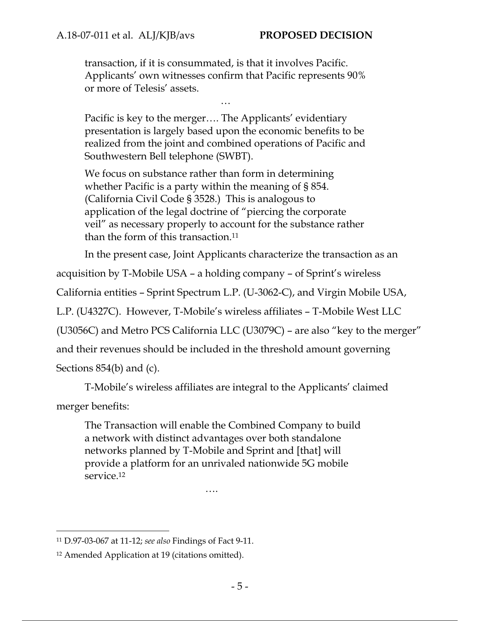transaction, if it is consummated, is that it involves Pacific. Applicants' own witnesses confirm that Pacific represents 90% or more of Telesis' assets.

…

Pacific is key to the merger…. The Applicants' evidentiary presentation is largely based upon the economic benefits to be realized from the joint and combined operations of Pacific and Southwestern Bell telephone (SWBT).

We focus on substance rather than form in determining whether Pacific is a party within the meaning of § 854. (California Civil Code § 3528.) This is analogous to application of the legal doctrine of "piercing the corporate veil" as necessary properly to account for the substance rather than the form of this transaction.11

In the present case, Joint Applicants characterize the transaction as an

acquisition by T-Mobile USA – a holding company – of Sprint's wireless

California entities – Sprint Spectrum L.P. (U-3062-C), and Virgin Mobile USA,

L.P. (U4327C). However, T-Mobile's wireless affiliates – T-Mobile West LLC

(U3056C) and Metro PCS California LLC (U3079C) – are also "key to the merger"

and their revenues should be included in the threshold amount governing

Sections 854(b) and (c).

T-Mobile's wireless affiliates are integral to the Applicants' claimed

merger benefits:

The Transaction will enable the Combined Company to build a network with distinct advantages over both standalone networks planned by T-Mobile and Sprint and [that] will provide a platform for an unrivaled nationwide 5G mobile service.12

….

<sup>11</sup> D.97-03-067 at 11-12; *see also* Findings of Fact 9-11.

<sup>12</sup> Amended Application at 19 (citations omitted).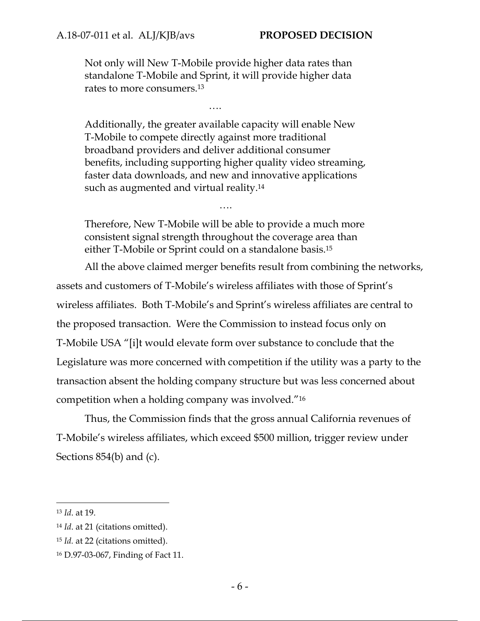Not only will New T-Mobile provide higher data rates than standalone T-Mobile and Sprint, it will provide higher data rates to more consumers.13

….

Additionally, the greater available capacity will enable New T-Mobile to compete directly against more traditional broadband providers and deliver additional consumer benefits, including supporting higher quality video streaming, faster data downloads, and new and innovative applications such as augmented and virtual reality.<sup>14</sup>

Therefore, New T-Mobile will be able to provide a much more consistent signal strength throughout the coverage area than either T-Mobile or Sprint could on a standalone basis.15

….

All the above claimed merger benefits result from combining the networks, assets and customers of T-Mobile's wireless affiliates with those of Sprint's wireless affiliates. Both T-Mobile's and Sprint's wireless affiliates are central to the proposed transaction. Were the Commission to instead focus only on T-Mobile USA "[i]t would elevate form over substance to conclude that the Legislature was more concerned with competition if the utility was a party to the transaction absent the holding company structure but was less concerned about competition when a holding company was involved."16

Thus, the Commission finds that the gross annual California revenues of T-Mobile's wireless affiliates, which exceed \$500 million, trigger review under Sections 854(b) and (c).

<sup>13</sup> *Id*. at 19.

<sup>14</sup> *Id*. at 21 (citations omitted).

<sup>15</sup> *Id.* at 22 (citations omitted).

<sup>16</sup> D.97-03-067, Finding of Fact 11.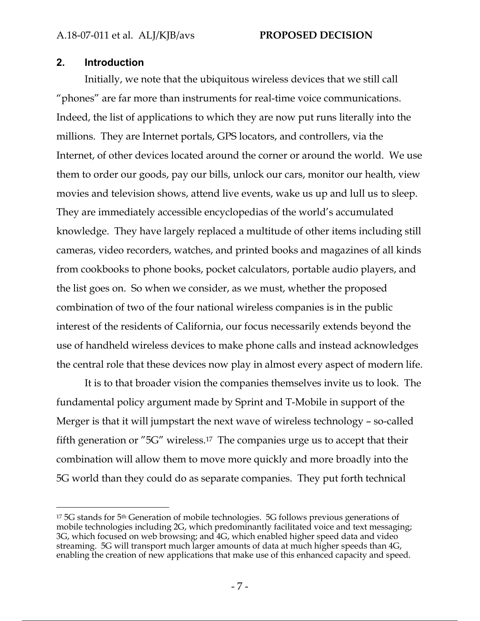### **2. Introduction**

Initially, we note that the ubiquitous wireless devices that we still call "phones" are far more than instruments for real-time voice communications. Indeed, the list of applications to which they are now put runs literally into the millions. They are Internet portals, GPS locators, and controllers, via the Internet, of other devices located around the corner or around the world. We use them to order our goods, pay our bills, unlock our cars, monitor our health, view movies and television shows, attend live events, wake us up and lull us to sleep. They are immediately accessible encyclopedias of the world's accumulated knowledge. They have largely replaced a multitude of other items including still cameras, video recorders, watches, and printed books and magazines of all kinds from cookbooks to phone books, pocket calculators, portable audio players, and the list goes on. So when we consider, as we must, whether the proposed combination of two of the four national wireless companies is in the public interest of the residents of California, our focus necessarily extends beyond the use of handheld wireless devices to make phone calls and instead acknowledges the central role that these devices now play in almost every aspect of modern life.

It is to that broader vision the companies themselves invite us to look. The fundamental policy argument made by Sprint and T-Mobile in support of the Merger is that it will jumpstart the next wave of wireless technology – so-called fifth generation or "5G" wireless.17 The companies urge us to accept that their combination will allow them to move more quickly and more broadly into the 5G world than they could do as separate companies. They put forth technical

<sup>&</sup>lt;sup>17</sup> 5G stands for 5<sup>th</sup> Generation of mobile technologies. 5G follows previous generations of mobile technologies including 2G, which predominantly facilitated voice and text messaging; 3G, which focused on web browsing; and 4G, which enabled higher speed data and video streaming. 5G will transport much larger amounts of data at much higher speeds than 4G, enabling the creation of new applications that make use of this enhanced capacity and speed.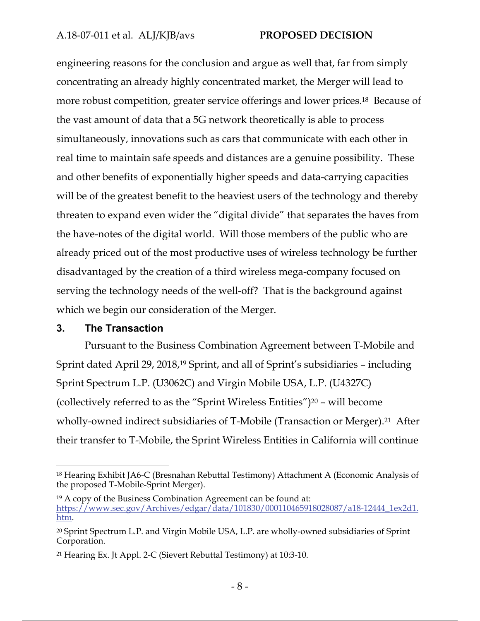### A.18‐07‐011 et al. ALJ/KJB/avs **PROPOSED DECISION**

engineering reasons for the conclusion and argue as well that, far from simply concentrating an already highly concentrated market, the Merger will lead to more robust competition, greater service offerings and lower prices.18 Because of the vast amount of data that a 5G network theoretically is able to process simultaneously, innovations such as cars that communicate with each other in real time to maintain safe speeds and distances are a genuine possibility. These and other benefits of exponentially higher speeds and data-carrying capacities will be of the greatest benefit to the heaviest users of the technology and thereby threaten to expand even wider the "digital divide" that separates the haves from the have-notes of the digital world. Will those members of the public who are already priced out of the most productive uses of wireless technology be further disadvantaged by the creation of a third wireless mega-company focused on serving the technology needs of the well-off? That is the background against which we begin our consideration of the Merger.

### **3. The Transaction**

Pursuant to the Business Combination Agreement between T-Mobile and Sprint dated April 29, 2018,<sup>19</sup> Sprint, and all of Sprint's subsidiaries – including Sprint Spectrum L.P. (U3062C) and Virgin Mobile USA, L.P. (U4327C) (collectively referred to as the "Sprint Wireless Entities")<sup>20</sup> – will become wholly-owned indirect subsidiaries of T-Mobile (Transaction or Merger).<sup>21</sup> After their transfer to T-Mobile, the Sprint Wireless Entities in California will continue

<sup>18</sup> Hearing Exhibit JA6-C (Bresnahan Rebuttal Testimony) Attachment A (Economic Analysis of the proposed T-Mobile-Sprint Merger).

<sup>19</sup> A copy of the Business Combination Agreement can be found at: https://www.sec.gov/Archives/edgar/data/101830/000110465918028087/a18-12444\_1ex2d1. htm.

<sup>20</sup> Sprint Spectrum L.P. and Virgin Mobile USA, L.P. are wholly-owned subsidiaries of Sprint Corporation.

<sup>21</sup> Hearing Ex. Jt Appl. 2-C (Sievert Rebuttal Testimony) at 10:3-10.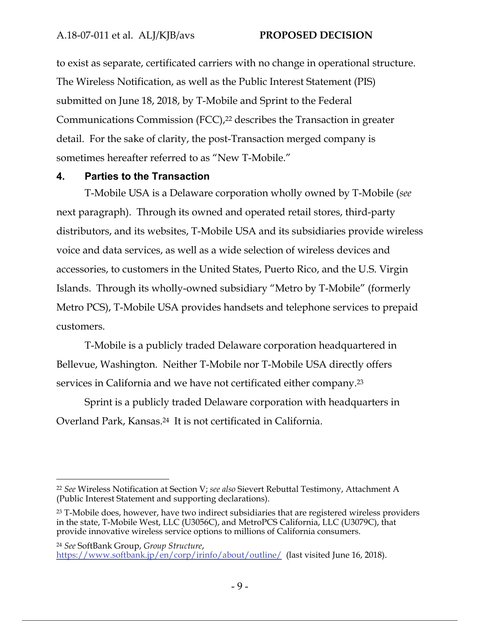to exist as separate, certificated carriers with no change in operational structure. The Wireless Notification, as well as the Public Interest Statement (PIS) submitted on June 18, 2018, by T-Mobile and Sprint to the Federal Communications Commission (FCC),<sup>22</sup> describes the Transaction in greater detail. For the sake of clarity, the post-Transaction merged company is sometimes hereafter referred to as "New T-Mobile."

### **4. Parties to the Transaction**

T-Mobile USA is a Delaware corporation wholly owned by T-Mobile (*see*  next paragraph). Through its owned and operated retail stores, third-party distributors, and its websites, T-Mobile USA and its subsidiaries provide wireless voice and data services, as well as a wide selection of wireless devices and accessories, to customers in the United States, Puerto Rico, and the U.S. Virgin Islands. Through its wholly-owned subsidiary "Metro by T-Mobile" (formerly Metro PCS), T-Mobile USA provides handsets and telephone services to prepaid customers.

T-Mobile is a publicly traded Delaware corporation headquartered in Bellevue, Washington. Neither T-Mobile nor T-Mobile USA directly offers services in California and we have not certificated either company.23

Sprint is a publicly traded Delaware corporation with headquarters in Overland Park, Kansas.24 It is not certificated in California.

<sup>22</sup> *See* Wireless Notification at Section V; *see also* Sievert Rebuttal Testimony, Attachment A (Public Interest Statement and supporting declarations).

<sup>&</sup>lt;sup>23</sup> T-Mobile does, however, have two indirect subsidiaries that are registered wireless providers in the state, T-Mobile West, LLC (U3056C), and MetroPCS California, LLC (U3079C), that provide innovative wireless service options to millions of California consumers.

<sup>24</sup> *See* SoftBank Group, *Group Structure*, https://www.softbank.jp/en/corp/irinfo/about/outline/ (last visited June 16, 2018).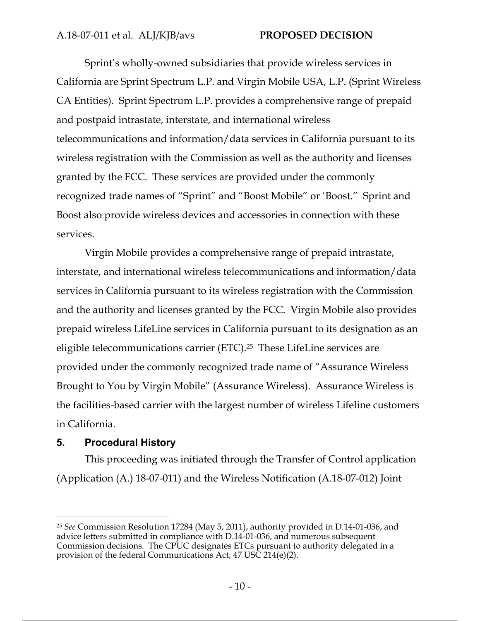Sprint's wholly-owned subsidiaries that provide wireless services in California are Sprint Spectrum L.P. and Virgin Mobile USA, L.P. (Sprint Wireless CA Entities). Sprint Spectrum L.P. provides a comprehensive range of prepaid and postpaid intrastate, interstate, and international wireless telecommunications and information/data services in California pursuant to its wireless registration with the Commission as well as the authority and licenses granted by the FCC. These services are provided under the commonly recognized trade names of "Sprint" and "Boost Mobile" or 'Boost." Sprint and Boost also provide wireless devices and accessories in connection with these services.

Virgin Mobile provides a comprehensive range of prepaid intrastate, interstate, and international wireless telecommunications and information/data services in California pursuant to its wireless registration with the Commission and the authority and licenses granted by the FCC. Virgin Mobile also provides prepaid wireless LifeLine services in California pursuant to its designation as an eligible telecommunications carrier (ETC).25 These LifeLine services are provided under the commonly recognized trade name of "Assurance Wireless Brought to You by Virgin Mobile" (Assurance Wireless). Assurance Wireless is the facilities-based carrier with the largest number of wireless Lifeline customers in California.

### **5. Procedural History**

This proceeding was initiated through the Transfer of Control application (Application (A.) 18-07-011) and the Wireless Notification (A.18-07-012) Joint

<sup>25</sup> *See* Commission Resolution 17284 (May 5, 2011), authority provided in D.14-01-036, and advice letters submitted in compliance with D.14-01-036, and numerous subsequent Commission decisions. The CPUC designates ETCs pursuant to authority delegated in a provision of the federal Communications Act, 47 USC 214(e)(2).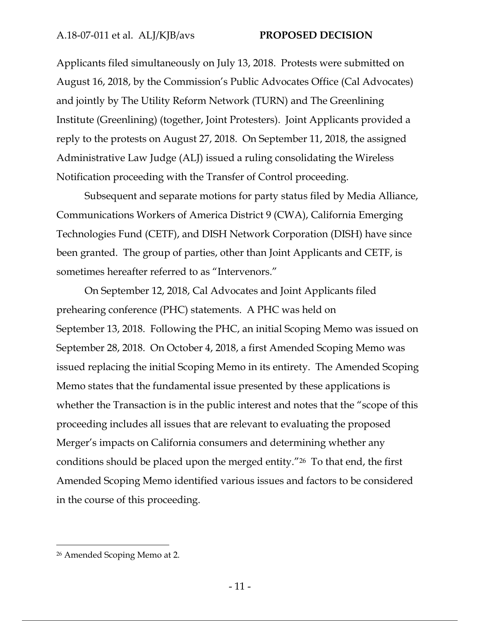Applicants filed simultaneously on July 13, 2018. Protests were submitted on August 16, 2018, by the Commission's Public Advocates Office (Cal Advocates) and jointly by The Utility Reform Network (TURN) and The Greenlining Institute (Greenlining) (together, Joint Protesters). Joint Applicants provided a reply to the protests on August 27, 2018. On September 11, 2018, the assigned Administrative Law Judge (ALJ) issued a ruling consolidating the Wireless Notification proceeding with the Transfer of Control proceeding.

Subsequent and separate motions for party status filed by Media Alliance, Communications Workers of America District 9 (CWA), California Emerging Technologies Fund (CETF), and DISH Network Corporation (DISH) have since been granted. The group of parties, other than Joint Applicants and CETF, is sometimes hereafter referred to as "Intervenors."

On September 12, 2018, Cal Advocates and Joint Applicants filed prehearing conference (PHC) statements. A PHC was held on September 13, 2018. Following the PHC, an initial Scoping Memo was issued on September 28, 2018. On October 4, 2018, a first Amended Scoping Memo was issued replacing the initial Scoping Memo in its entirety. The Amended Scoping Memo states that the fundamental issue presented by these applications is whether the Transaction is in the public interest and notes that the "scope of this proceeding includes all issues that are relevant to evaluating the proposed Merger's impacts on California consumers and determining whether any conditions should be placed upon the merged entity."26 To that end, the first Amended Scoping Memo identified various issues and factors to be considered in the course of this proceeding.

<sup>26</sup> Amended Scoping Memo at 2.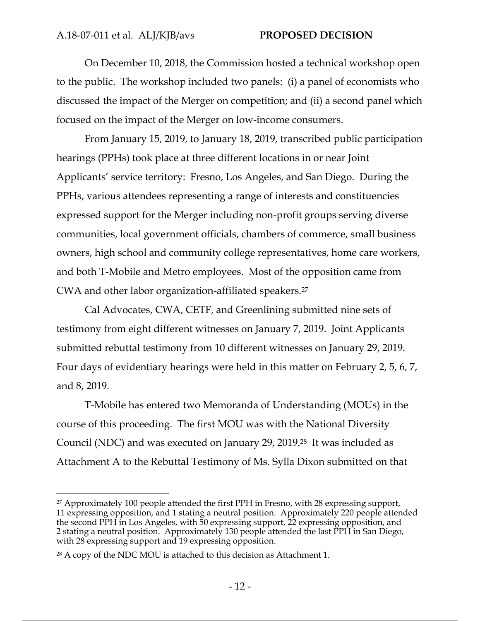On December 10, 2018, the Commission hosted a technical workshop open to the public. The workshop included two panels: (i) a panel of economists who discussed the impact of the Merger on competition; and (ii) a second panel which focused on the impact of the Merger on low-income consumers.

From January 15, 2019, to January 18, 2019, transcribed public participation hearings (PPHs) took place at three different locations in or near Joint Applicants' service territory: Fresno, Los Angeles, and San Diego. During the PPHs, various attendees representing a range of interests and constituencies expressed support for the Merger including non-profit groups serving diverse communities, local government officials, chambers of commerce, small business owners, high school and community college representatives, home care workers, and both T-Mobile and Metro employees. Most of the opposition came from CWA and other labor organization-affiliated speakers.27

Cal Advocates, CWA, CETF, and Greenlining submitted nine sets of testimony from eight different witnesses on January 7, 2019. Joint Applicants submitted rebuttal testimony from 10 different witnesses on January 29, 2019. Four days of evidentiary hearings were held in this matter on February 2, 5, 6, 7, and 8, 2019.

T-Mobile has entered two Memoranda of Understanding (MOUs) in the course of this proceeding. The first MOU was with the National Diversity Council (NDC) and was executed on January 29, 2019.28 It was included as Attachment A to the Rebuttal Testimony of Ms. Sylla Dixon submitted on that

<sup>27</sup> Approximately 100 people attended the first PPH in Fresno, with 28 expressing support, 11 expressing opposition, and 1 stating a neutral position. Approximately 220 people attended the second PPH in Los Angeles, with 50 expressing support, 22 expressing opposition, and 2 stating a neutral position. Approximately 130 people attended the last PPH in San Diego, with 28 expressing support and 19 expressing opposition.

<sup>28</sup> A copy of the NDC MOU is attached to this decision as Attachment 1.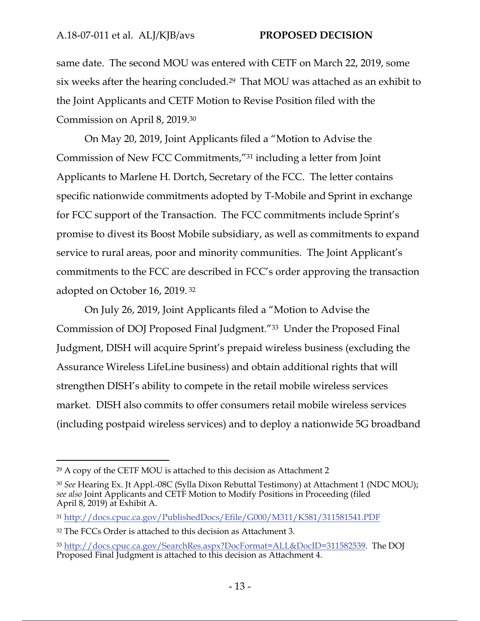same date. The second MOU was entered with CETF on March 22, 2019, some six weeks after the hearing concluded.29 That MOU was attached as an exhibit to the Joint Applicants and CETF Motion to Revise Position filed with the Commission on April 8, 2019.30

On May 20, 2019, Joint Applicants filed a "Motion to Advise the Commission of New FCC Commitments,"31 including a letter from Joint Applicants to Marlene H. Dortch, Secretary of the FCC. The letter contains specific nationwide commitments adopted by T-Mobile and Sprint in exchange for FCC support of the Transaction. The FCC commitments include Sprint's promise to divest its Boost Mobile subsidiary, as well as commitments to expand service to rural areas, poor and minority communities. The Joint Applicant's commitments to the FCC are described in FCC's order approving the transaction adopted on October 16, 2019. 32

On July 26, 2019, Joint Applicants filed a "Motion to Advise the Commission of DOJ Proposed Final Judgment."33 Under the Proposed Final Judgment, DISH will acquire Sprint's prepaid wireless business (excluding the Assurance Wireless LifeLine business) and obtain additional rights that will strengthen DISH's ability to compete in the retail mobile wireless services market. DISH also commits to offer consumers retail mobile wireless services (including postpaid wireless services) and to deploy a nationwide 5G broadband

<sup>29</sup> A copy of the CETF MOU is attached to this decision as Attachment 2

<sup>30</sup> *See* Hearing Ex. Jt Appl.-08C (Sylla Dixon Rebuttal Testimony) at Attachment 1 (NDC MOU); *see also* Joint Applicants and CETF Motion to Modify Positions in Proceeding (filed April 8, 2019) at Exhibit A.

<sup>31</sup> http://docs.cpuc.ca.gov/PublishedDocs/Efile/G000/M311/K581/311581541.PDF

<sup>32</sup> The FCCs Order is attached to this decision as Attachment 3.

<sup>33</sup> http://docs.cpuc.ca.gov/SearchRes.aspx?DocFormat=ALL&DocID=311582539. The DOJ Proposed Final Judgment is attached to this decision as Attachment 4.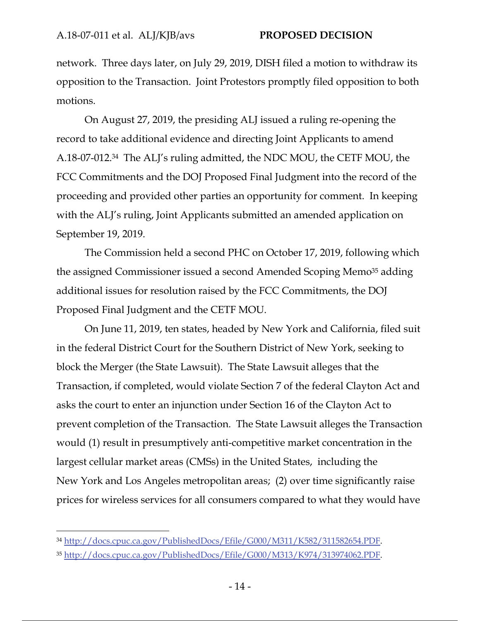network. Three days later, on July 29, 2019, DISH filed a motion to withdraw its opposition to the Transaction. Joint Protestors promptly filed opposition to both motions.

On August 27, 2019, the presiding ALJ issued a ruling re-opening the record to take additional evidence and directing Joint Applicants to amend A.18-07-012.34 The ALJ's ruling admitted, the NDC MOU, the CETF MOU, the FCC Commitments and the DOJ Proposed Final Judgment into the record of the proceeding and provided other parties an opportunity for comment. In keeping with the ALJ's ruling, Joint Applicants submitted an amended application on September 19, 2019.

The Commission held a second PHC on October 17, 2019, following which the assigned Commissioner issued a second Amended Scoping Memo<sup>35</sup> adding additional issues for resolution raised by the FCC Commitments, the DOJ Proposed Final Judgment and the CETF MOU.

On June 11, 2019, ten states, headed by New York and California, filed suit in the federal District Court for the Southern District of New York, seeking to block the Merger (the State Lawsuit). The State Lawsuit alleges that the Transaction, if completed, would violate Section 7 of the federal Clayton Act and asks the court to enter an injunction under Section 16 of the Clayton Act to prevent completion of the Transaction. The State Lawsuit alleges the Transaction would (1) result in presumptively anti-competitive market concentration in the largest cellular market areas (CMSs) in the United States, including the New York and Los Angeles metropolitan areas; (2) over time significantly raise prices for wireless services for all consumers compared to what they would have

<sup>34</sup> http://docs.cpuc.ca.gov/PublishedDocs/Efile/G000/M311/K582/311582654.PDF.

<sup>35</sup> http://docs.cpuc.ca.gov/PublishedDocs/Efile/G000/M313/K974/313974062.PDF.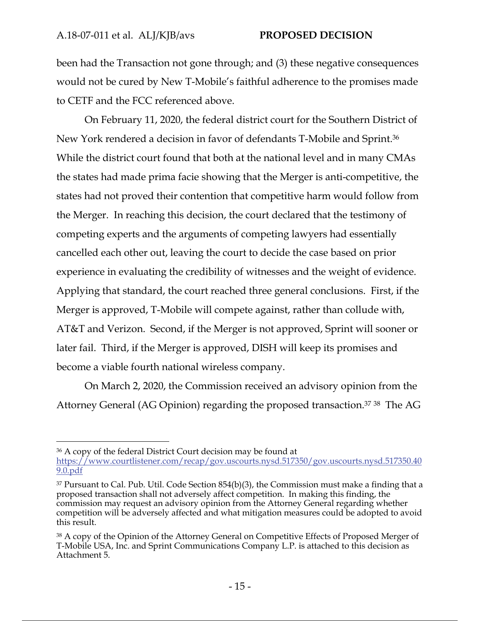been had the Transaction not gone through; and (3) these negative consequences would not be cured by New T-Mobile's faithful adherence to the promises made to CETF and the FCC referenced above.

On February 11, 2020, the federal district court for the Southern District of New York rendered a decision in favor of defendants T-Mobile and Sprint.36 While the district court found that both at the national level and in many CMAs the states had made prima facie showing that the Merger is anti-competitive, the states had not proved their contention that competitive harm would follow from the Merger. In reaching this decision, the court declared that the testimony of competing experts and the arguments of competing lawyers had essentially cancelled each other out, leaving the court to decide the case based on prior experience in evaluating the credibility of witnesses and the weight of evidence. Applying that standard, the court reached three general conclusions. First, if the Merger is approved, T-Mobile will compete against, rather than collude with, AT&T and Verizon. Second, if the Merger is not approved, Sprint will sooner or later fail. Third, if the Merger is approved, DISH will keep its promises and become a viable fourth national wireless company.

On March 2, 2020, the Commission received an advisory opinion from the Attorney General (AG Opinion) regarding the proposed transaction.37 38 The AG

<sup>36</sup> A copy of the federal District Court decision may be found at https://www.courtlistener.com/recap/gov.uscourts.nysd.517350/gov.uscourts.nysd.517350.40 9.0.pdf

<sup>&</sup>lt;sup>37</sup> Pursuant to Cal. Pub. Util. Code Section 854(b)(3), the Commission must make a finding that a proposed transaction shall not adversely affect competition. In making this finding, the commission may request an advisory opinion from the Attorney General regarding whether competition will be adversely affected and what mitigation measures could be adopted to avoid this result.

<sup>38</sup> A copy of the Opinion of the Attorney General on Competitive Effects of Proposed Merger of T-Mobile USA, Inc. and Sprint Communications Company L.P. is attached to this decision as Attachment 5.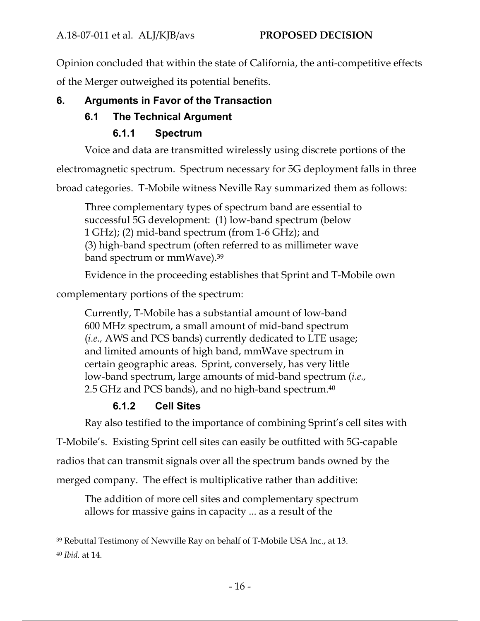Opinion concluded that within the state of California, the anti-competitive effects of the Merger outweighed its potential benefits.

# **6. Arguments in Favor of the Transaction**

# **6.1 The Technical Argument**

# **6.1.1 Spectrum**

Voice and data are transmitted wirelessly using discrete portions of the

electromagnetic spectrum. Spectrum necessary for 5G deployment falls in three

broad categories. T-Mobile witness Neville Ray summarized them as follows:

Three complementary types of spectrum band are essential to successful 5G development: (1) low-band spectrum (below 1 GHz); (2) mid-band spectrum (from 1-6 GHz); and (3) high-band spectrum (often referred to as millimeter wave band spectrum or mmWave).39

Evidence in the proceeding establishes that Sprint and T-Mobile own

complementary portions of the spectrum:

Currently, T-Mobile has a substantial amount of low-band 600 MHz spectrum, a small amount of mid-band spectrum (*i.e.,* AWS and PCS bands) currently dedicated to LTE usage; and limited amounts of high band, mmWave spectrum in certain geographic areas. Sprint, conversely, has very little low-band spectrum, large amounts of mid-band spectrum (*i.e.,* 2.5 GHz and PCS bands), and no high-band spectrum.<sup>40</sup>

# **6.1.2 Cell Sites**

Ray also testified to the importance of combining Sprint's cell sites with

T-Mobile's. Existing Sprint cell sites can easily be outfitted with 5G-capable

radios that can transmit signals over all the spectrum bands owned by the

merged company. The effect is multiplicative rather than additive:

The addition of more cell sites and complementary spectrum allows for massive gains in capacity ... as a result of the

<sup>39</sup> Rebuttal Testimony of Newville Ray on behalf of T-Mobile USA Inc., at 13.

<sup>40</sup> *Ibid.* at 14.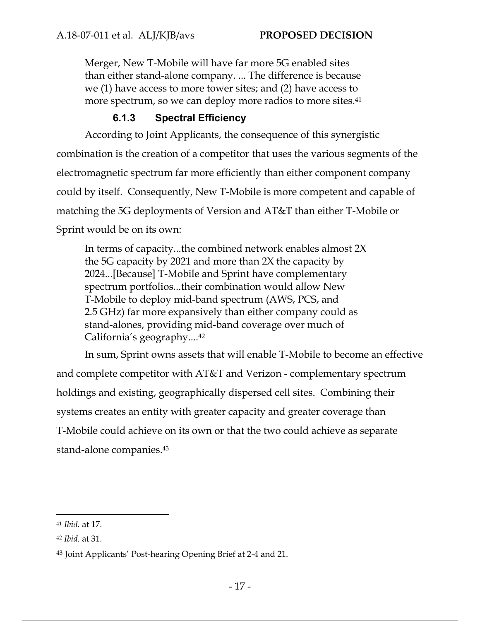Merger, New T-Mobile will have far more 5G enabled sites than either stand-alone company. ... The difference is because we (1) have access to more tower sites; and (2) have access to more spectrum, so we can deploy more radios to more sites.<sup>41</sup>

# **6.1.3 Spectral Efficiency**

According to Joint Applicants, the consequence of this synergistic combination is the creation of a competitor that uses the various segments of the electromagnetic spectrum far more efficiently than either component company could by itself. Consequently, New T-Mobile is more competent and capable of matching the 5G deployments of Version and AT&T than either T-Mobile or Sprint would be on its own:

In terms of capacity...the combined network enables almost 2X the 5G capacity by 2021 and more than 2X the capacity by 2024...[Because] T-Mobile and Sprint have complementary spectrum portfolios...their combination would allow New T-Mobile to deploy mid-band spectrum (AWS, PCS, and 2.5 GHz) far more expansively than either company could as stand-alones, providing mid-band coverage over much of California's geography....42

In sum, Sprint owns assets that will enable T-Mobile to become an effective and complete competitor with AT&T and Verizon - complementary spectrum holdings and existing, geographically dispersed cell sites. Combining their systems creates an entity with greater capacity and greater coverage than T-Mobile could achieve on its own or that the two could achieve as separate stand-alone companies.43

<sup>41</sup> *Ibid.* at 17.

<sup>42</sup> *Ibid.* at 31.

<sup>43</sup> Joint Applicants' Post-hearing Opening Brief at 2-4 and 21.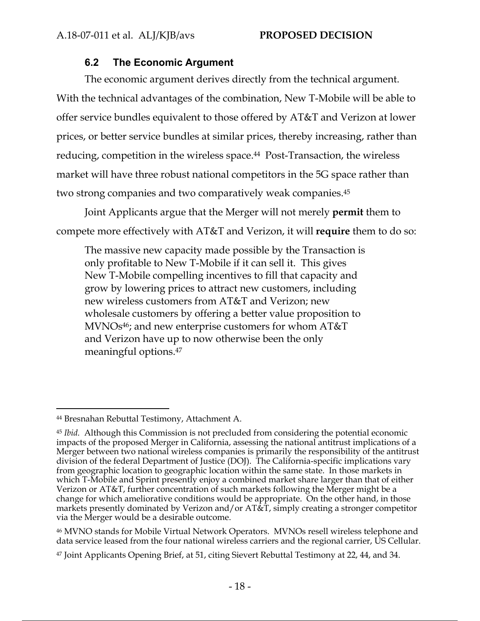### **6.2 The Economic Argument**

The economic argument derives directly from the technical argument. With the technical advantages of the combination, New T-Mobile will be able to offer service bundles equivalent to those offered by AT&T and Verizon at lower prices, or better service bundles at similar prices, thereby increasing, rather than reducing, competition in the wireless space.<sup>44</sup> Post-Transaction, the wireless market will have three robust national competitors in the 5G space rather than two strong companies and two comparatively weak companies.45

Joint Applicants argue that the Merger will not merely **permit** them to compete more effectively with AT&T and Verizon, it will **require** them to do so:

The massive new capacity made possible by the Transaction is only profitable to New T-Mobile if it can sell it. This gives New T-Mobile compelling incentives to fill that capacity and grow by lowering prices to attract new customers, including new wireless customers from AT&T and Verizon; new wholesale customers by offering a better value proposition to  $MVNOs<sup>46</sup>$ ; and new enterprise customers for whom  $AT&T$ and Verizon have up to now otherwise been the only meaningful options.47

46 MVNO stands for Mobile Virtual Network Operators. MVNOs resell wireless telephone and data service leased from the four national wireless carriers and the regional carrier, US Cellular.

<sup>44</sup> Bresnahan Rebuttal Testimony, Attachment A.

<sup>45</sup> *Ibid.* Although this Commission is not precluded from considering the potential economic impacts of the proposed Merger in California, assessing the national antitrust implications of a Merger between two national wireless companies is primarily the responsibility of the antitrust division of the federal Department of Justice (DOJ). The California-specific implications vary from geographic location to geographic location within the same state. In those markets in which T-Mobile and Sprint presently enjoy a combined market share larger than that of either Verizon or AT&T, further concentration of such markets following the Merger might be a change for which ameliorative conditions would be appropriate. On the other hand, in those markets presently dominated by Verizon and/or AT&T, simply creating a stronger competitor via the Merger would be a desirable outcome.

<sup>47</sup> Joint Applicants Opening Brief, at 51, citing Sievert Rebuttal Testimony at 22, 44, and 34.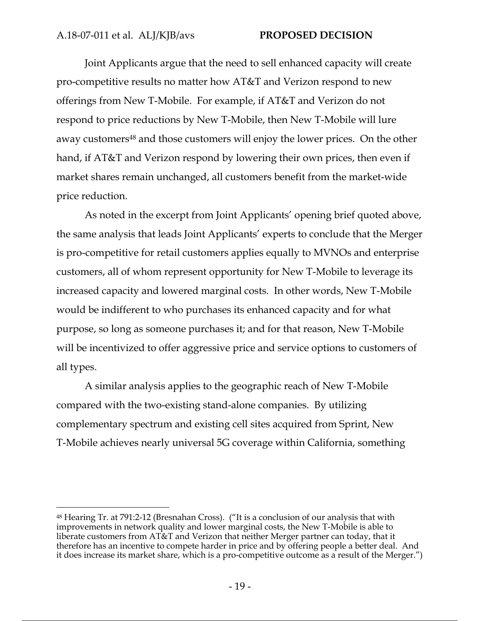Joint Applicants argue that the need to sell enhanced capacity will create pro-competitive results no matter how AT&T and Verizon respond to new offerings from New T-Mobile. For example, if AT&T and Verizon do not respond to price reductions by New T-Mobile, then New T-Mobile will lure away customers<sup>48</sup> and those customers will enjoy the lower prices. On the other hand, if AT&T and Verizon respond by lowering their own prices, then even if market shares remain unchanged, all customers benefit from the market-wide price reduction.

As noted in the excerpt from Joint Applicants' opening brief quoted above, the same analysis that leads Joint Applicants' experts to conclude that the Merger is pro-competitive for retail customers applies equally to MVNOs and enterprise customers, all of whom represent opportunity for New T-Mobile to leverage its increased capacity and lowered marginal costs. In other words, New T-Mobile would be indifferent to who purchases its enhanced capacity and for what purpose, so long as someone purchases it; and for that reason, New T-Mobile will be incentivized to offer aggressive price and service options to customers of all types.

A similar analysis applies to the geographic reach of New T-Mobile compared with the two-existing stand-alone companies. By utilizing complementary spectrum and existing cell sites acquired from Sprint, New T-Mobile achieves nearly universal 5G coverage within California, something

<sup>48</sup> Hearing Tr. at 791:2-12 (Bresnahan Cross). ("It is a conclusion of our analysis that with improvements in network quality and lower marginal costs, the New T-Mobile is able to liberate customers from AT&T and Verizon that neither Merger partner can today, that it therefore has an incentive to compete harder in price and by offering people a better deal. And it does increase its market share, which is a pro-competitive outcome as a result of the Merger.")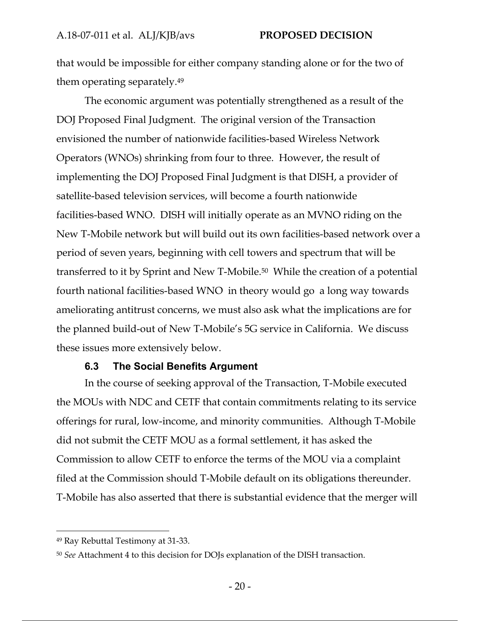that would be impossible for either company standing alone or for the two of them operating separately.49

The economic argument was potentially strengthened as a result of the DOJ Proposed Final Judgment. The original version of the Transaction envisioned the number of nationwide facilities-based Wireless Network Operators (WNOs) shrinking from four to three. However, the result of implementing the DOJ Proposed Final Judgment is that DISH, a provider of satellite-based television services, will become a fourth nationwide facilities-based WNO. DISH will initially operate as an MVNO riding on the New T-Mobile network but will build out its own facilities-based network over a period of seven years, beginning with cell towers and spectrum that will be transferred to it by Sprint and New T-Mobile.50 While the creation of a potential fourth national facilities-based WNO in theory would go a long way towards ameliorating antitrust concerns, we must also ask what the implications are for the planned build-out of New T-Mobile's 5G service in California. We discuss these issues more extensively below.

#### **6.3 The Social Benefits Argument**

In the course of seeking approval of the Transaction, T-Mobile executed the MOUs with NDC and CETF that contain commitments relating to its service offerings for rural, low-income, and minority communities. Although T-Mobile did not submit the CETF MOU as a formal settlement, it has asked the Commission to allow CETF to enforce the terms of the MOU via a complaint filed at the Commission should T-Mobile default on its obligations thereunder. T-Mobile has also asserted that there is substantial evidence that the merger will

<sup>49</sup> Ray Rebuttal Testimony at 31-33.

<sup>50</sup> *See* Attachment 4 to this decision for DOJs explanation of the DISH transaction.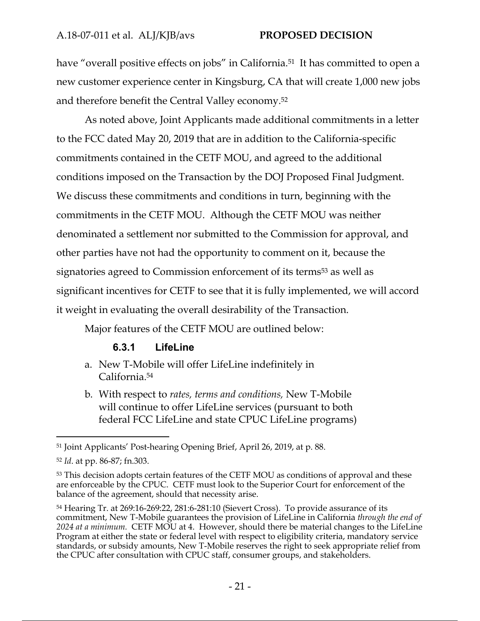have "overall positive effects on jobs" in California.<sup>51</sup> It has committed to open a new customer experience center in Kingsburg, CA that will create 1,000 new jobs and therefore benefit the Central Valley economy.52

As noted above, Joint Applicants made additional commitments in a letter to the FCC dated May 20, 2019 that are in addition to the California-specific commitments contained in the CETF MOU, and agreed to the additional conditions imposed on the Transaction by the DOJ Proposed Final Judgment. We discuss these commitments and conditions in turn, beginning with the commitments in the CETF MOU. Although the CETF MOU was neither denominated a settlement nor submitted to the Commission for approval, and other parties have not had the opportunity to comment on it, because the signatories agreed to Commission enforcement of its terms<sup>53</sup> as well as significant incentives for CETF to see that it is fully implemented, we will accord it weight in evaluating the overall desirability of the Transaction.

Major features of the CETF MOU are outlined below:

# **6.3.1 LifeLine**

- a. New T-Mobile will offer LifeLine indefinitely in California.54
- b. With respect to *rates, terms and conditions,* New T-Mobile will continue to offer LifeLine services (pursuant to both federal FCC LifeLine and state CPUC LifeLine programs)

<sup>51</sup> Joint Applicants' Post-hearing Opening Brief, April 26, 2019, at p. 88.

<sup>52</sup> *Id*. at pp. 86-87; fn.303.

<sup>&</sup>lt;sup>53</sup> This decision adopts certain features of the CETF MOU as conditions of approval and these are enforceable by the CPUC. CETF must look to the Superior Court for enforcement of the balance of the agreement, should that necessity arise.

<sup>54</sup> Hearing Tr. at 269:16-269:22, 281:6-281:10 (Sievert Cross). To provide assurance of its commitment, New T-Mobile guarantees the provision of LifeLine in California *through the end of 2024 at a minimum.* CETF MOU at 4. However, should there be material changes to the LifeLine Program at either the state or federal level with respect to eligibility criteria, mandatory service standards, or subsidy amounts, New T-Mobile reserves the right to seek appropriate relief from the CPUC after consultation with CPUC staff, consumer groups, and stakeholders.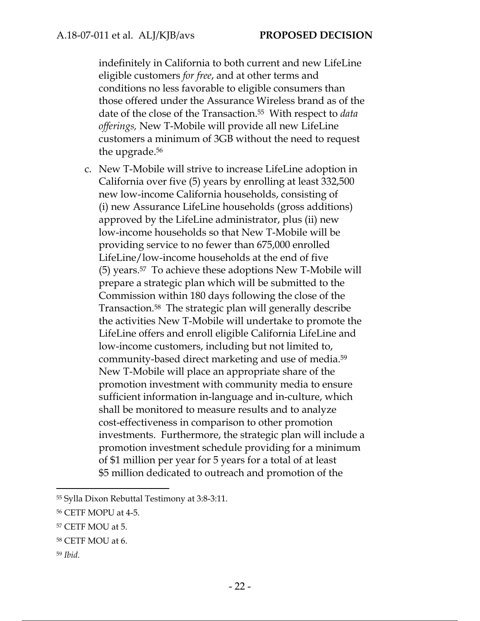indefinitely in California to both current and new LifeLine eligible customers *for free*, and at other terms and conditions no less favorable to eligible consumers than those offered under the Assurance Wireless brand as of the date of the close of the Transaction.55 With respect to *data offerings,* New T-Mobile will provide all new LifeLine customers a minimum of 3GB without the need to request the upgrade.56

c. New T-Mobile will strive to increase LifeLine adoption in California over five (5) years by enrolling at least 332,500 new low-income California households, consisting of (i) new Assurance LifeLine households (gross additions) approved by the LifeLine administrator, plus (ii) new low-income households so that New T-Mobile will be providing service to no fewer than 675,000 enrolled LifeLine/low-income households at the end of five (5) years.57 To achieve these adoptions New T-Mobile will prepare a strategic plan which will be submitted to the Commission within 180 days following the close of the Transaction.58 The strategic plan will generally describe the activities New T-Mobile will undertake to promote the LifeLine offers and enroll eligible California LifeLine and low-income customers, including but not limited to, community-based direct marketing and use of media.59 New T-Mobile will place an appropriate share of the promotion investment with community media to ensure sufficient information in-language and in-culture, which shall be monitored to measure results and to analyze cost-effectiveness in comparison to other promotion investments. Furthermore, the strategic plan will include a promotion investment schedule providing for a minimum of \$1 million per year for 5 years for a total of at least \$5 million dedicated to outreach and promotion of the

<sup>59</sup> *Ibid.*

<sup>55</sup> Sylla Dixon Rebuttal Testimony at 3:8-3:11.

<sup>56</sup> CETF MOPU at 4-5.

<sup>57</sup> CETF MOU at 5.

<sup>58</sup> CETF MOU at 6.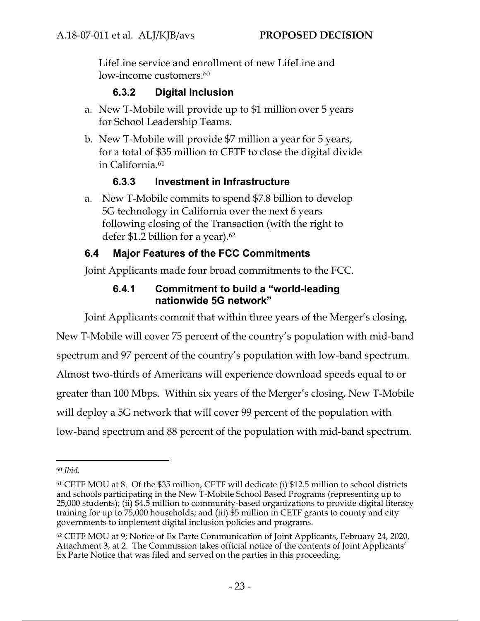LifeLine service and enrollment of new LifeLine and low-income customers.<sup>60</sup>

# **6.3.2 Digital Inclusion**

- a. New T-Mobile will provide up to \$1 million over 5 years for School Leadership Teams.
- b. New T-Mobile will provide \$7 million a year for 5 years, for a total of \$35 million to CETF to close the digital divide in California.61

# **6.3.3 Investment in Infrastructure**

a. New T-Mobile commits to spend \$7.8 billion to develop 5G technology in California over the next 6 years following closing of the Transaction (with the right to defer \$1.2 billion for a year).<sup>62</sup>

# **6.4 Major Features of the FCC Commitments**

Joint Applicants made four broad commitments to the FCC.

# **6.4.1 Commitment to build a "world-leading nationwide 5G network"**

Joint Applicants commit that within three years of the Merger's closing,

New T-Mobile will cover 75 percent of the country's population with mid-band spectrum and 97 percent of the country's population with low-band spectrum. Almost two-thirds of Americans will experience download speeds equal to or greater than 100 Mbps. Within six years of the Merger's closing, New T-Mobile will deploy a 5G network that will cover 99 percent of the population with low-band spectrum and 88 percent of the population with mid-band spectrum.

<sup>60</sup> *Ibid.*

<sup>61</sup> CETF MOU at 8. Of the \$35 million, CETF will dedicate (i) \$12.5 million to school districts and schools participating in the New T-Mobile School Based Programs (representing up to 25,000 students); (ii) \$4.5 million to community-based organizations to provide digital literacy training for up to 75,000 households; and (iii) \$5 million in CETF grants to county and city governments to implement digital inclusion policies and programs.

<sup>62</sup> CETF MOU at 9; Notice of Ex Parte Communication of Joint Applicants, February 24, 2020, Attachment 3, at 2. The Commission takes official notice of the contents of Joint Applicants' Ex Parte Notice that was filed and served on the parties in this proceeding.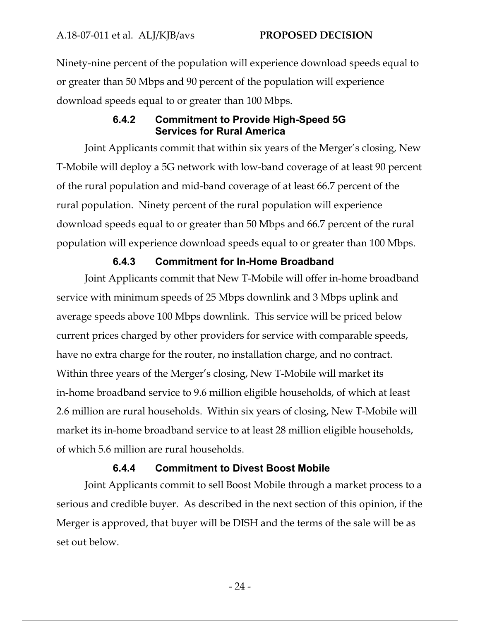Ninety-nine percent of the population will experience download speeds equal to or greater than 50 Mbps and 90 percent of the population will experience download speeds equal to or greater than 100 Mbps.

# **6.4.2 Commitment to Provide High-Speed 5G Services for Rural America**

Joint Applicants commit that within six years of the Merger's closing, New T-Mobile will deploy a 5G network with low-band coverage of at least 90 percent of the rural population and mid-band coverage of at least 66.7 percent of the rural population. Ninety percent of the rural population will experience download speeds equal to or greater than 50 Mbps and 66.7 percent of the rural population will experience download speeds equal to or greater than 100 Mbps.

# **6.4.3 Commitment for In-Home Broadband**

Joint Applicants commit that New T-Mobile will offer in-home broadband service with minimum speeds of 25 Mbps downlink and 3 Mbps uplink and average speeds above 100 Mbps downlink. This service will be priced below current prices charged by other providers for service with comparable speeds, have no extra charge for the router, no installation charge, and no contract. Within three years of the Merger's closing, New T-Mobile will market its in-home broadband service to 9.6 million eligible households, of which at least 2.6 million are rural households. Within six years of closing, New T-Mobile will market its in-home broadband service to at least 28 million eligible households, of which 5.6 million are rural households.

### **6.4.4 Commitment to Divest Boost Mobile**

Joint Applicants commit to sell Boost Mobile through a market process to a serious and credible buyer. As described in the next section of this opinion, if the Merger is approved, that buyer will be DISH and the terms of the sale will be as set out below.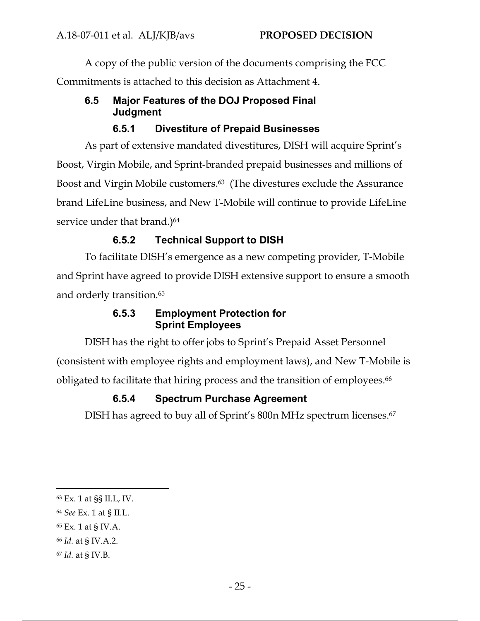A copy of the public version of the documents comprising the FCC Commitments is attached to this decision as Attachment 4.

# **6.5 Major Features of the DOJ Proposed Final Judgment**

# **6.5.1 Divestiture of Prepaid Businesses**

As part of extensive mandated divestitures, DISH will acquire Sprint's Boost, Virgin Mobile, and Sprint-branded prepaid businesses and millions of Boost and Virgin Mobile customers.63 (The divestures exclude the Assurance brand LifeLine business, and New T-Mobile will continue to provide LifeLine service under that brand.)<sup>64</sup>

# **6.5.2 Technical Support to DISH**

To facilitate DISH's emergence as a new competing provider, T-Mobile and Sprint have agreed to provide DISH extensive support to ensure a smooth and orderly transition.65

# **6.5.3 Employment Protection for Sprint Employees**

DISH has the right to offer jobs to Sprint's Prepaid Asset Personnel (consistent with employee rights and employment laws), and New T-Mobile is obligated to facilitate that hiring process and the transition of employees.<sup>66</sup>

# **6.5.4 Spectrum Purchase Agreement**

DISH has agreed to buy all of Sprint's 800n MHz spectrum licenses.67

<sup>63</sup> Ex. 1 at §§ II.L, IV.

<sup>64</sup> *See* Ex. 1 at § II.L.

<sup>65</sup> Ex. 1 at § IV.A.

<sup>66</sup> *Id.* at § IV.A.2.

<sup>67</sup> *Id.* at § IV.B.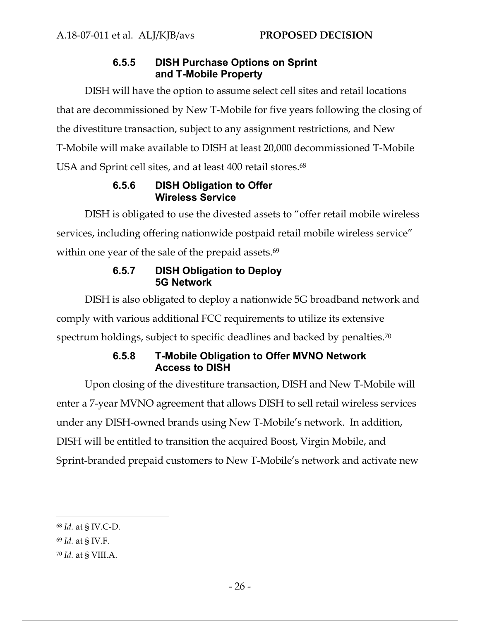# **6.5.5 DISH Purchase Options on Sprint and T-Mobile Property**

DISH will have the option to assume select cell sites and retail locations that are decommissioned by New T-Mobile for five years following the closing of the divestiture transaction, subject to any assignment restrictions, and New T-Mobile will make available to DISH at least 20,000 decommissioned T-Mobile USA and Sprint cell sites, and at least 400 retail stores.<sup>68</sup>

# **6.5.6 DISH Obligation to Offer Wireless Service**

DISH is obligated to use the divested assets to "offer retail mobile wireless services, including offering nationwide postpaid retail mobile wireless service" within one year of the sale of the prepaid assets.<sup>69</sup>

# **6.5.7 DISH Obligation to Deploy 5G Network**

DISH is also obligated to deploy a nationwide 5G broadband network and comply with various additional FCC requirements to utilize its extensive spectrum holdings, subject to specific deadlines and backed by penalties.<sup>70</sup>

# **6.5.8 T-Mobile Obligation to Offer MVNO Network Access to DISH**

Upon closing of the divestiture transaction, DISH and New T-Mobile will enter a 7-year MVNO agreement that allows DISH to sell retail wireless services under any DISH-owned brands using New T-Mobile's network. In addition, DISH will be entitled to transition the acquired Boost, Virgin Mobile, and Sprint-branded prepaid customers to New T-Mobile's network and activate new

<sup>68</sup> *Id.* at § IV.C-D.

<sup>69</sup> *Id.* at § IV.F.

<sup>70</sup> *Id.* at § VIII.A.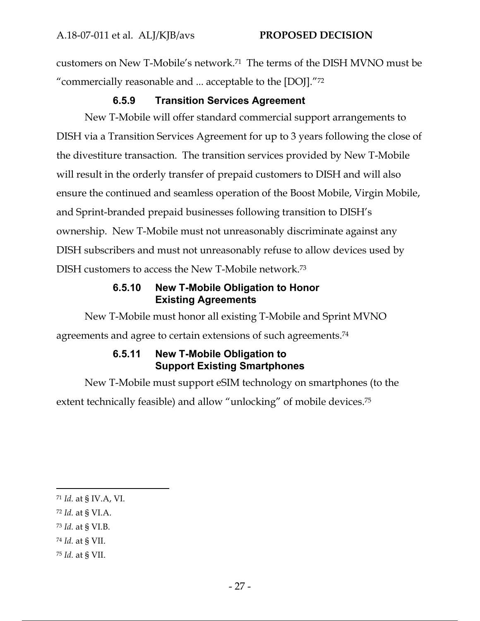customers on New T-Mobile's network.71 The terms of the DISH MVNO must be "commercially reasonable and ... acceptable to the [DOJ]."72

# **6.5.9 Transition Services Agreement**

New T-Mobile will offer standard commercial support arrangements to DISH via a Transition Services Agreement for up to 3 years following the close of the divestiture transaction. The transition services provided by New T-Mobile will result in the orderly transfer of prepaid customers to DISH and will also ensure the continued and seamless operation of the Boost Mobile, Virgin Mobile, and Sprint-branded prepaid businesses following transition to DISH's ownership. New T-Mobile must not unreasonably discriminate against any DISH subscribers and must not unreasonably refuse to allow devices used by DISH customers to access the New T-Mobile network.73

# **6.5.10 New T-Mobile Obligation to Honor Existing Agreements**

New T-Mobile must honor all existing T-Mobile and Sprint MVNO agreements and agree to certain extensions of such agreements.74

# **6.5.11 New T-Mobile Obligation to Support Existing Smartphones**

New T-Mobile must support eSIM technology on smartphones (to the extent technically feasible) and allow "unlocking" of mobile devices.75

- <sup>72</sup> *Id.* at § VI.A.
- <sup>73</sup> *Id.* at § VI.B.
- <sup>74</sup> *Id.* at § VII.
- <sup>75</sup> *Id.* at § VII.

<sup>71</sup> *Id.* at § IV.A, VI.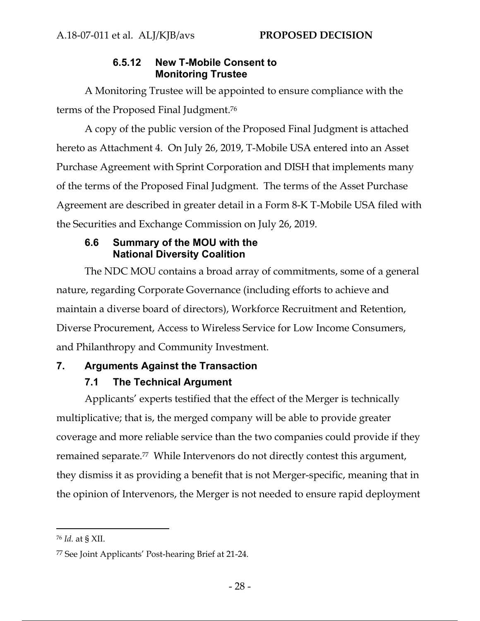# **6.5.12 New T-Mobile Consent to Monitoring Trustee**

A Monitoring Trustee will be appointed to ensure compliance with the terms of the Proposed Final Judgment.76

A copy of the public version of the Proposed Final Judgment is attached hereto as Attachment 4. On July 26, 2019, T-Mobile USA entered into an Asset Purchase Agreement with Sprint Corporation and DISH that implements many of the terms of the Proposed Final Judgment. The terms of the Asset Purchase Agreement are described in greater detail in a Form 8-K T-Mobile USA filed with the Securities and Exchange Commission on July 26, 2019.

### **6.6 Summary of the MOU with the National Diversity Coalition**

The NDC MOU contains a broad array of commitments, some of a general nature, regarding Corporate Governance (including efforts to achieve and maintain a diverse board of directors), Workforce Recruitment and Retention, Diverse Procurement, Access to Wireless Service for Low Income Consumers, and Philanthropy and Community Investment.

# **7. Arguments Against the Transaction**

# **7.1 The Technical Argument**

Applicants' experts testified that the effect of the Merger is technically multiplicative; that is, the merged company will be able to provide greater coverage and more reliable service than the two companies could provide if they remained separate.<sup>77</sup> While Intervenors do not directly contest this argument, they dismiss it as providing a benefit that is not Merger-specific, meaning that in the opinion of Intervenors, the Merger is not needed to ensure rapid deployment

<sup>76</sup> *Id.* at § XII.

<sup>77</sup> See Joint Applicants' Post-hearing Brief at 21-24.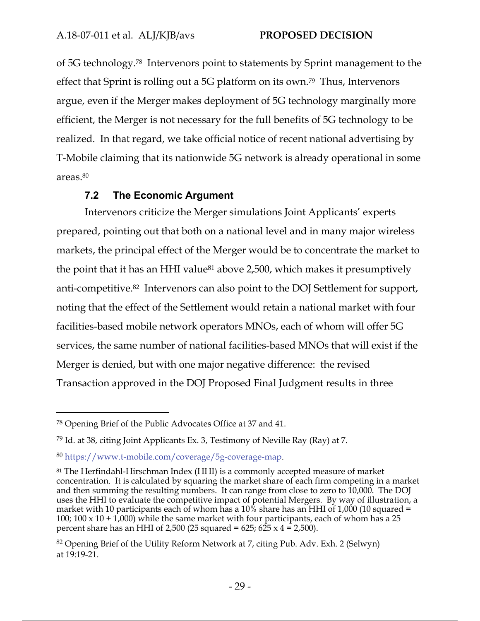of 5G technology.78 Intervenors point to statements by Sprint management to the effect that Sprint is rolling out a 5G platform on its own.79 Thus, Intervenors argue, even if the Merger makes deployment of 5G technology marginally more efficient, the Merger is not necessary for the full benefits of 5G technology to be realized. In that regard, we take official notice of recent national advertising by T-Mobile claiming that its nationwide 5G network is already operational in some areas.80

### **7.2 The Economic Argument**

Intervenors criticize the Merger simulations Joint Applicants' experts prepared, pointing out that both on a national level and in many major wireless markets, the principal effect of the Merger would be to concentrate the market to the point that it has an HHI value81 above 2,500, which makes it presumptively anti-competitive.82 Intervenors can also point to the DOJ Settlement for support, noting that the effect of the Settlement would retain a national market with four facilities-based mobile network operators MNOs, each of whom will offer 5G services, the same number of national facilities-based MNOs that will exist if the Merger is denied, but with one major negative difference: the revised Transaction approved in the DOJ Proposed Final Judgment results in three

<sup>78</sup> Opening Brief of the Public Advocates Office at 37 and 41.

<sup>79</sup> Id. at 38, citing Joint Applicants Ex. 3, Testimony of Neville Ray (Ray) at 7.

<sup>80</sup> https://www.t-mobile.com/coverage/5g-coverage-map.

<sup>81</sup> The Herfindahl-Hirschman Index (HHI) is a commonly accepted measure of market concentration. It is calculated by squaring the market share of each firm competing in a market and then summing the resulting numbers. It can range from close to zero to 10,000. The DOJ uses the HHI to evaluate the competitive impact of potential Mergers. By way of illustration, a market with 10 participants each of whom has a  $10\%$  share has an HHI of 1,000 (10 squared = 100; 100 x 10 + 1,000) while the same market with four participants, each of whom has a 25 percent share has an HHI of 2,500 (25 squared = 625; 625  $\times$  4 = 2,500).

<sup>82</sup> Opening Brief of the Utility Reform Network at 7, citing Pub. Adv. Exh. 2 (Selwyn) at 19:19-21.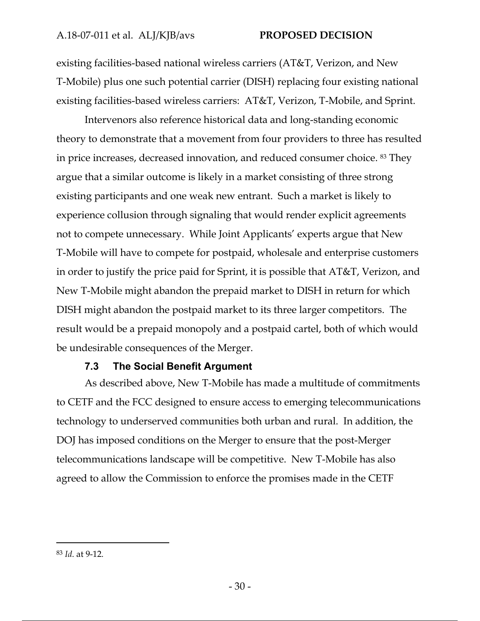existing facilities-based national wireless carriers (AT&T, Verizon, and New T-Mobile) plus one such potential carrier (DISH) replacing four existing national existing facilities-based wireless carriers: AT&T, Verizon, T-Mobile, and Sprint.

Intervenors also reference historical data and long-standing economic theory to demonstrate that a movement from four providers to three has resulted in price increases, decreased innovation, and reduced consumer choice. 83 They argue that a similar outcome is likely in a market consisting of three strong existing participants and one weak new entrant. Such a market is likely to experience collusion through signaling that would render explicit agreements not to compete unnecessary. While Joint Applicants' experts argue that New T-Mobile will have to compete for postpaid, wholesale and enterprise customers in order to justify the price paid for Sprint, it is possible that AT&T, Verizon, and New T-Mobile might abandon the prepaid market to DISH in return for which DISH might abandon the postpaid market to its three larger competitors. The result would be a prepaid monopoly and a postpaid cartel, both of which would be undesirable consequences of the Merger.

### **7.3 The Social Benefit Argument**

As described above, New T-Mobile has made a multitude of commitments to CETF and the FCC designed to ensure access to emerging telecommunications technology to underserved communities both urban and rural. In addition, the DOJ has imposed conditions on the Merger to ensure that the post-Merger telecommunications landscape will be competitive. New T-Mobile has also agreed to allow the Commission to enforce the promises made in the CETF

<sup>83</sup> *Id*. at 9-12.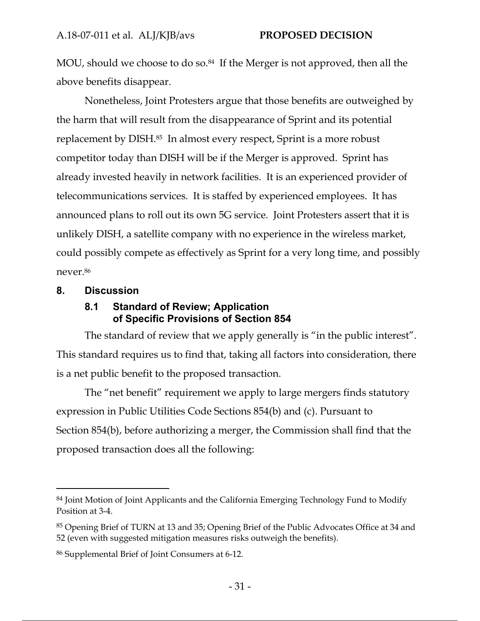MOU, should we choose to do so.<sup>84</sup> If the Merger is not approved, then all the above benefits disappear.

Nonetheless, Joint Protesters argue that those benefits are outweighed by the harm that will result from the disappearance of Sprint and its potential replacement by DISH.85 In almost every respect, Sprint is a more robust competitor today than DISH will be if the Merger is approved. Sprint has already invested heavily in network facilities. It is an experienced provider of telecommunications services. It is staffed by experienced employees. It has announced plans to roll out its own 5G service. Joint Protesters assert that it is unlikely DISH, a satellite company with no experience in the wireless market, could possibly compete as effectively as Sprint for a very long time, and possibly never.86

### **8. Discussion**

### **8.1 Standard of Review; Application of Specific Provisions of Section 854**

The standard of review that we apply generally is "in the public interest". This standard requires us to find that, taking all factors into consideration, there is a net public benefit to the proposed transaction.

The "net benefit" requirement we apply to large mergers finds statutory expression in Public Utilities Code Sections 854(b) and (c). Pursuant to Section 854(b), before authorizing a merger, the Commission shall find that the proposed transaction does all the following:

<sup>&</sup>lt;sup>84</sup> Joint Motion of Joint Applicants and the California Emerging Technology Fund to Modify Position at 3-4.

<sup>85</sup> Opening Brief of TURN at 13 and 35; Opening Brief of the Public Advocates Office at 34 and 52 (even with suggested mitigation measures risks outweigh the benefits).

<sup>86</sup> Supplemental Brief of Joint Consumers at 6-12.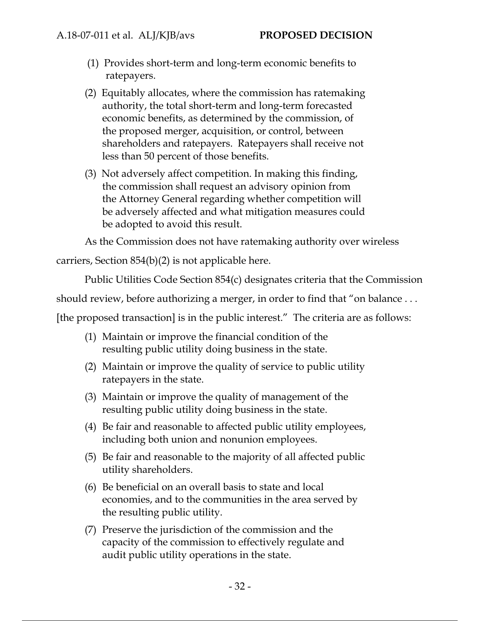- (1) Provides short-term and long-term economic benefits to ratepayers.
- (2) Equitably allocates, where the commission has ratemaking authority, the total short-term and long-term forecasted economic benefits, as determined by the commission, of the proposed merger, acquisition, or control, between shareholders and ratepayers. Ratepayers shall receive not less than 50 percent of those benefits.
- (3) Not adversely affect competition. In making this finding, the commission shall request an advisory opinion from the Attorney General regarding whether competition will be adversely affected and what mitigation measures could be adopted to avoid this result.

As the Commission does not have ratemaking authority over wireless

carriers, Section 854(b)(2) is not applicable here.

Public Utilities Code Section 854(c) designates criteria that the Commission

should review, before authorizing a merger, in order to find that "on balance . . .

[the proposed transaction] is in the public interest." The criteria are as follows:

- (1) Maintain or improve the financial condition of the resulting public utility doing business in the state.
- (2) Maintain or improve the quality of service to public utility ratepayers in the state.
- (3) Maintain or improve the quality of management of the resulting public utility doing business in the state.
- (4) Be fair and reasonable to affected public utility employees, including both union and nonunion employees.
- (5) Be fair and reasonable to the majority of all affected public utility shareholders.
- (6) Be beneficial on an overall basis to state and local economies, and to the communities in the area served by the resulting public utility.
- (7) Preserve the jurisdiction of the commission and the capacity of the commission to effectively regulate and audit public utility operations in the state.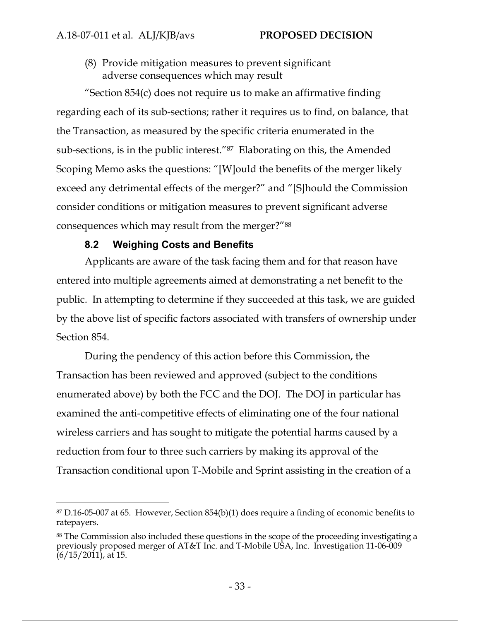(8) Provide mitigation measures to prevent significant adverse consequences which may result

"Section  $854(c)$  does not require us to make an affirmative finding regarding each of its sub-sections; rather it requires us to find, on balance, that the Transaction, as measured by the specific criteria enumerated in the sub-sections, is in the public interest."87 Elaborating on this, the Amended Scoping Memo asks the questions: "[W]ould the benefits of the merger likely exceed any detrimental effects of the merger?" and "[S]hould the Commission consider conditions or mitigation measures to prevent significant adverse consequences which may result from the merger?"88

### **8.2 Weighing Costs and Benefits**

Applicants are aware of the task facing them and for that reason have entered into multiple agreements aimed at demonstrating a net benefit to the public. In attempting to determine if they succeeded at this task, we are guided by the above list of specific factors associated with transfers of ownership under Section 854.

During the pendency of this action before this Commission, the Transaction has been reviewed and approved (subject to the conditions enumerated above) by both the FCC and the DOJ. The DOJ in particular has examined the anti-competitive effects of eliminating one of the four national wireless carriers and has sought to mitigate the potential harms caused by a reduction from four to three such carriers by making its approval of the Transaction conditional upon T-Mobile and Sprint assisting in the creation of a

<sup>87</sup> D.16-05-007 at 65. However, Section 854(b)(1) does require a finding of economic benefits to ratepayers.

<sup>88</sup> The Commission also included these questions in the scope of the proceeding investigating a previously proposed merger of AT&T Inc. and T-Mobile USA, Inc. Investigation 11-06-009 (6/15/2011), at 15.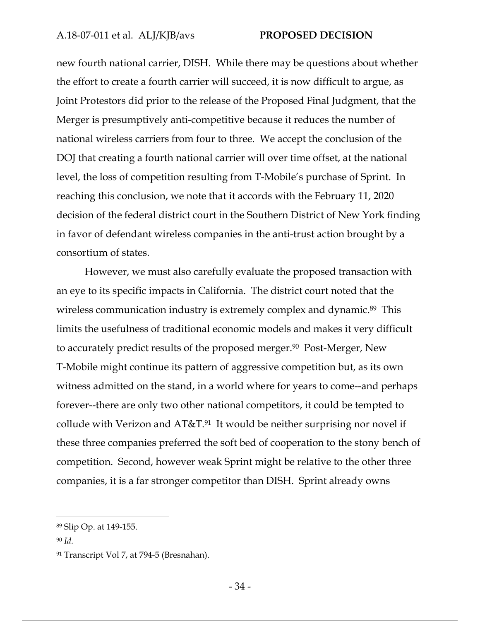new fourth national carrier, DISH. While there may be questions about whether the effort to create a fourth carrier will succeed, it is now difficult to argue, as Joint Protestors did prior to the release of the Proposed Final Judgment, that the Merger is presumptively anti-competitive because it reduces the number of national wireless carriers from four to three. We accept the conclusion of the DOJ that creating a fourth national carrier will over time offset, at the national level, the loss of competition resulting from T-Mobile's purchase of Sprint. In reaching this conclusion, we note that it accords with the February 11, 2020 decision of the federal district court in the Southern District of New York finding in favor of defendant wireless companies in the anti-trust action brought by a consortium of states.

However, we must also carefully evaluate the proposed transaction with an eye to its specific impacts in California. The district court noted that the wireless communication industry is extremely complex and dynamic.<sup>89</sup> This limits the usefulness of traditional economic models and makes it very difficult to accurately predict results of the proposed merger.<sup>90</sup> Post-Merger, New T-Mobile might continue its pattern of aggressive competition but, as its own witness admitted on the stand, in a world where for years to come--and perhaps forever--there are only two other national competitors, it could be tempted to collude with Verizon and  $AT&T.91$  It would be neither surprising nor novel if these three companies preferred the soft bed of cooperation to the stony bench of competition. Second, however weak Sprint might be relative to the other three companies, it is a far stronger competitor than DISH. Sprint already owns

<sup>89</sup> Slip Op. at 149-155.

<sup>90</sup> *Id.*

<sup>&</sup>lt;sup>91</sup> Transcript Vol 7, at 794-5 (Bresnahan).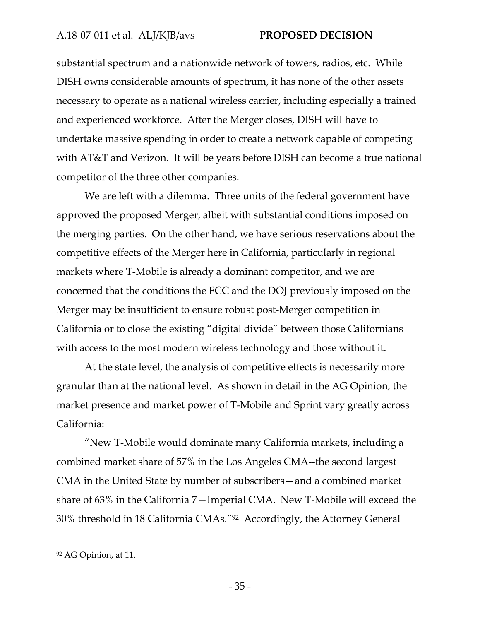#### A.18‐07‐011 et al. ALJ/KJB/avs **PROPOSED DECISION**

substantial spectrum and a nationwide network of towers, radios, etc. While DISH owns considerable amounts of spectrum, it has none of the other assets necessary to operate as a national wireless carrier, including especially a trained and experienced workforce. After the Merger closes, DISH will have to undertake massive spending in order to create a network capable of competing with AT&T and Verizon. It will be years before DISH can become a true national competitor of the three other companies.

We are left with a dilemma. Three units of the federal government have approved the proposed Merger, albeit with substantial conditions imposed on the merging parties. On the other hand, we have serious reservations about the competitive effects of the Merger here in California, particularly in regional markets where T-Mobile is already a dominant competitor, and we are concerned that the conditions the FCC and the DOJ previously imposed on the Merger may be insufficient to ensure robust post-Merger competition in California or to close the existing "digital divide" between those Californians with access to the most modern wireless technology and those without it.

At the state level, the analysis of competitive effects is necessarily more granular than at the national level. As shown in detail in the AG Opinion, the market presence and market power of T-Mobile and Sprint vary greatly across California:

"New T-Mobile would dominate many California markets, including a combined market share of 57% in the Los Angeles CMA--the second largest CMA in the United State by number of subscribers—and a combined market share of 63% in the California 7—Imperial CMA. New T-Mobile will exceed the 30% threshold in 18 California CMAs."92 Accordingly, the Attorney General

<sup>92</sup> AG Opinion, at 11.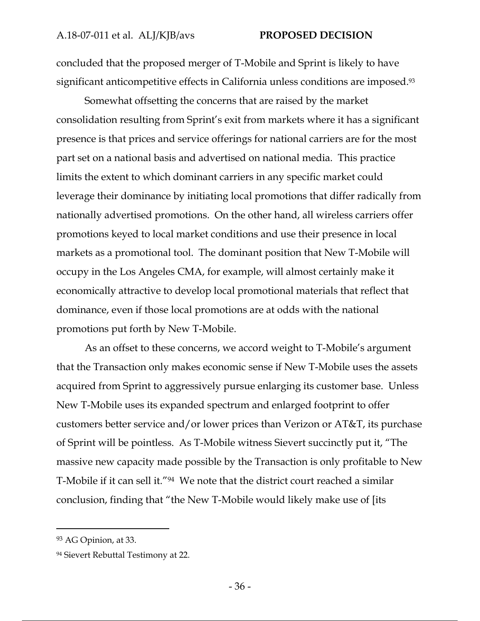concluded that the proposed merger of T-Mobile and Sprint is likely to have significant anticompetitive effects in California unless conditions are imposed.<sup>93</sup>

Somewhat offsetting the concerns that are raised by the market consolidation resulting from Sprint's exit from markets where it has a significant presence is that prices and service offerings for national carriers are for the most part set on a national basis and advertised on national media. This practice limits the extent to which dominant carriers in any specific market could leverage their dominance by initiating local promotions that differ radically from nationally advertised promotions. On the other hand, all wireless carriers offer promotions keyed to local market conditions and use their presence in local markets as a promotional tool. The dominant position that New T-Mobile will occupy in the Los Angeles CMA, for example, will almost certainly make it economically attractive to develop local promotional materials that reflect that dominance, even if those local promotions are at odds with the national promotions put forth by New T-Mobile.

As an offset to these concerns, we accord weight to T-Mobile's argument that the Transaction only makes economic sense if New T-Mobile uses the assets acquired from Sprint to aggressively pursue enlarging its customer base. Unless New T-Mobile uses its expanded spectrum and enlarged footprint to offer customers better service and/or lower prices than Verizon or AT&T, its purchase of Sprint will be pointless. As T-Mobile witness Sievert succinctly put it, "The massive new capacity made possible by the Transaction is only profitable to New T-Mobile if it can sell it."94 We note that the district court reached a similar conclusion, finding that "the New T-Mobile would likely make use of [its

<sup>93</sup> AG Opinion, at 33.

<sup>94</sup> Sievert Rebuttal Testimony at 22.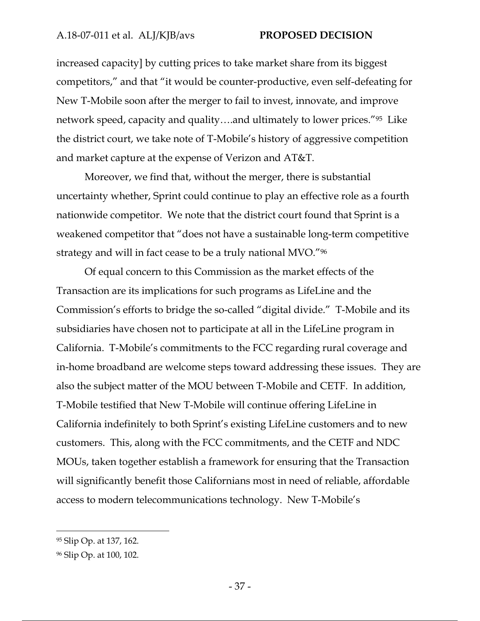#### A.18‐07‐011 et al. ALJ/KJB/avs **PROPOSED DECISION**

increased capacity] by cutting prices to take market share from its biggest competitors," and that "it would be counter-productive, even self-defeating for New T-Mobile soon after the merger to fail to invest, innovate, and improve network speed, capacity and quality….and ultimately to lower prices."95 Like the district court, we take note of T-Mobile's history of aggressive competition and market capture at the expense of Verizon and AT&T.

Moreover, we find that, without the merger, there is substantial uncertainty whether, Sprint could continue to play an effective role as a fourth nationwide competitor. We note that the district court found that Sprint is a weakened competitor that "does not have a sustainable long-term competitive strategy and will in fact cease to be a truly national MVO."96

Of equal concern to this Commission as the market effects of the Transaction are its implications for such programs as LifeLine and the Commission's efforts to bridge the so-called "digital divide." T-Mobile and its subsidiaries have chosen not to participate at all in the LifeLine program in California. T-Mobile's commitments to the FCC regarding rural coverage and in-home broadband are welcome steps toward addressing these issues. They are also the subject matter of the MOU between T-Mobile and CETF. In addition, T-Mobile testified that New T-Mobile will continue offering LifeLine in California indefinitely to both Sprint's existing LifeLine customers and to new customers. This, along with the FCC commitments, and the CETF and NDC MOUs, taken together establish a framework for ensuring that the Transaction will significantly benefit those Californians most in need of reliable, affordable access to modern telecommunications technology. New T-Mobile's

<sup>95</sup> Slip Op. at 137, 162.

<sup>96</sup> Slip Op. at 100, 102.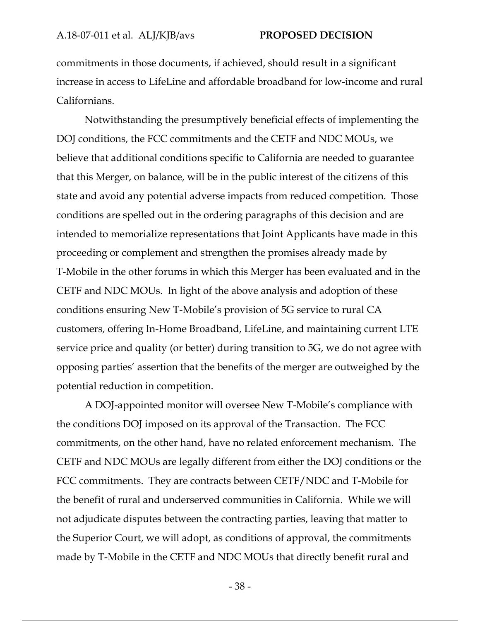commitments in those documents, if achieved, should result in a significant increase in access to LifeLine and affordable broadband for low-income and rural Californians.

Notwithstanding the presumptively beneficial effects of implementing the DOJ conditions, the FCC commitments and the CETF and NDC MOUs, we believe that additional conditions specific to California are needed to guarantee that this Merger, on balance, will be in the public interest of the citizens of this state and avoid any potential adverse impacts from reduced competition. Those conditions are spelled out in the ordering paragraphs of this decision and are intended to memorialize representations that Joint Applicants have made in this proceeding or complement and strengthen the promises already made by T-Mobile in the other forums in which this Merger has been evaluated and in the CETF and NDC MOUs. In light of the above analysis and adoption of these conditions ensuring New T-Mobile's provision of 5G service to rural CA customers, offering In-Home Broadband, LifeLine, and maintaining current LTE service price and quality (or better) during transition to 5G, we do not agree with opposing parties' assertion that the benefits of the merger are outweighed by the potential reduction in competition.

A DOJ-appointed monitor will oversee New T-Mobile's compliance with the conditions DOJ imposed on its approval of the Transaction. The FCC commitments, on the other hand, have no related enforcement mechanism. The CETF and NDC MOUs are legally different from either the DOJ conditions or the FCC commitments. They are contracts between CETF/NDC and T-Mobile for the benefit of rural and underserved communities in California. While we will not adjudicate disputes between the contracting parties, leaving that matter to the Superior Court, we will adopt, as conditions of approval, the commitments made by T-Mobile in the CETF and NDC MOUs that directly benefit rural and

- 38 -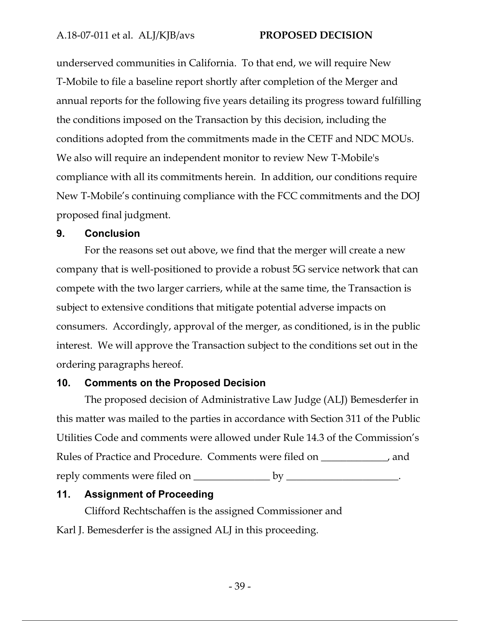underserved communities in California. To that end, we will require New T-Mobile to file a baseline report shortly after completion of the Merger and annual reports for the following five years detailing its progress toward fulfilling the conditions imposed on the Transaction by this decision, including the conditions adopted from the commitments made in the CETF and NDC MOUs. We also will require an independent monitor to review New T-Mobile's compliance with all its commitments herein. In addition, our conditions require New T-Mobile's continuing compliance with the FCC commitments and the DOJ proposed final judgment.

#### **9. Conclusion**

For the reasons set out above, we find that the merger will create a new company that is well-positioned to provide a robust 5G service network that can compete with the two larger carriers, while at the same time, the Transaction is subject to extensive conditions that mitigate potential adverse impacts on consumers. Accordingly, approval of the merger, as conditioned, is in the public interest. We will approve the Transaction subject to the conditions set out in the ordering paragraphs hereof.

### **10. Comments on the Proposed Decision**

The proposed decision of Administrative Law Judge (ALJ) Bemesderfer in this matter was mailed to the parties in accordance with Section 311 of the Public Utilities Code and comments were allowed under Rule 14.3 of the Commission's Rules of Practice and Procedure. Comments were filed on \_\_\_\_\_\_\_\_\_\_\_, and reply comments were filed on \_\_\_\_\_\_\_\_\_\_\_\_\_\_\_ by \_\_\_\_\_\_\_\_\_\_\_\_\_\_\_\_\_\_\_\_\_\_.

### **11. Assignment of Proceeding**

Clifford Rechtschaffen is the assigned Commissioner and Karl J. Bemesderfer is the assigned ALJ in this proceeding.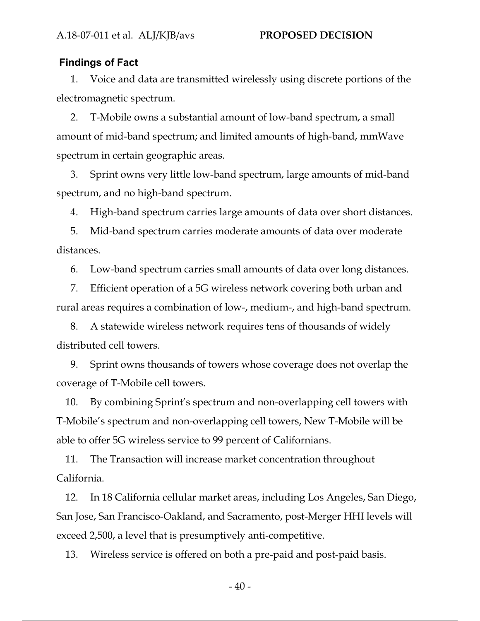#### **Findings of Fact**

1. Voice and data are transmitted wirelessly using discrete portions of the electromagnetic spectrum.

2. T-Mobile owns a substantial amount of low-band spectrum, a small amount of mid-band spectrum; and limited amounts of high-band, mmWave spectrum in certain geographic areas.

3. Sprint owns very little low-band spectrum, large amounts of mid-band spectrum, and no high-band spectrum.

4. High-band spectrum carries large amounts of data over short distances.

5. Mid-band spectrum carries moderate amounts of data over moderate distances.

6. Low-band spectrum carries small amounts of data over long distances.

7. Efficient operation of a 5G wireless network covering both urban and rural areas requires a combination of low-, medium-, and high-band spectrum.

8. A statewide wireless network requires tens of thousands of widely distributed cell towers.

9. Sprint owns thousands of towers whose coverage does not overlap the coverage of T-Mobile cell towers.

10. By combining Sprint's spectrum and non-overlapping cell towers with T-Mobile's spectrum and non-overlapping cell towers, New T-Mobile will be able to offer 5G wireless service to 99 percent of Californians.

11. The Transaction will increase market concentration throughout California.

12. In 18 California cellular market areas, including Los Angeles, San Diego, San Jose, San Francisco-Oakland, and Sacramento, post-Merger HHI levels will exceed 2,500, a level that is presumptively anti-competitive.

13. Wireless service is offered on both a pre-paid and post-paid basis.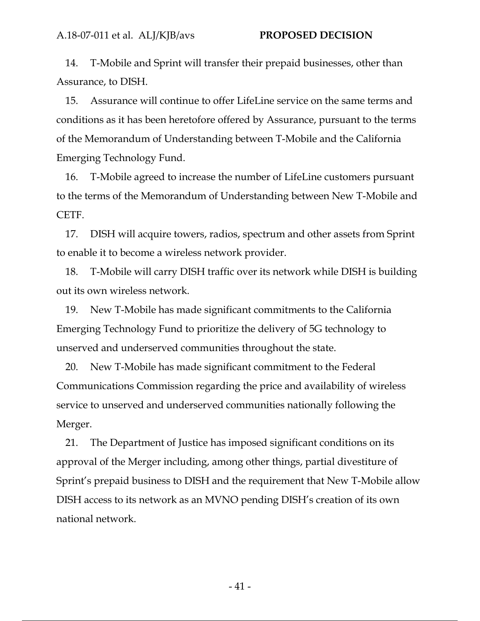14. T-Mobile and Sprint will transfer their prepaid businesses, other than Assurance, to DISH.

15. Assurance will continue to offer LifeLine service on the same terms and conditions as it has been heretofore offered by Assurance, pursuant to the terms of the Memorandum of Understanding between T-Mobile and the California Emerging Technology Fund.

16. T-Mobile agreed to increase the number of LifeLine customers pursuant to the terms of the Memorandum of Understanding between New T-Mobile and CETF.

17. DISH will acquire towers, radios, spectrum and other assets from Sprint to enable it to become a wireless network provider.

18. T-Mobile will carry DISH traffic over its network while DISH is building out its own wireless network.

19. New T-Mobile has made significant commitments to the California Emerging Technology Fund to prioritize the delivery of 5G technology to unserved and underserved communities throughout the state.

20. New T-Mobile has made significant commitment to the Federal Communications Commission regarding the price and availability of wireless service to unserved and underserved communities nationally following the Merger.

21. The Department of Justice has imposed significant conditions on its approval of the Merger including, among other things, partial divestiture of Sprint's prepaid business to DISH and the requirement that New T-Mobile allow DISH access to its network as an MVNO pending DISH's creation of its own national network.

- 41 -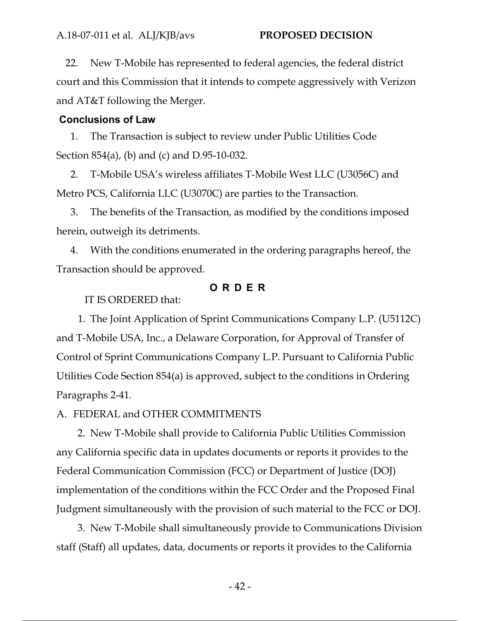22. New T-Mobile has represented to federal agencies, the federal district court and this Commission that it intends to compete aggressively with Verizon and AT&T following the Merger.

#### **Conclusions of Law**

1. The Transaction is subject to review under Public Utilities Code Section 854(a), (b) and (c) and D.95-10-032.

2. T-Mobile USA's wireless affiliates T-Mobile West LLC (U3056C) and Metro PCS, California LLC (U3070C) are parties to the Transaction.

3. The benefits of the Transaction, as modified by the conditions imposed herein, outweigh its detriments.

4. With the conditions enumerated in the ordering paragraphs hereof, the Transaction should be approved.

### **ORDER**

IT IS ORDERED that:

1. The Joint Application of Sprint Communications Company L.P. (U5112C) and T-Mobile USA, Inc., a Delaware Corporation, for Approval of Transfer of Control of Sprint Communications Company L.P. Pursuant to California Public Utilities Code Section 854(a) is approved, subject to the conditions in Ordering Paragraphs 2-41.

A. FEDERAL and OTHER COMMITMENTS

2. New T-Mobile shall provide to California Public Utilities Commission any California specific data in updates documents or reports it provides to the Federal Communication Commission (FCC) or Department of Justice (DOJ) implementation of the conditions within the FCC Order and the Proposed Final Judgment simultaneously with the provision of such material to the FCC or DOJ.

3. New T-Mobile shall simultaneously provide to Communications Division staff (Staff) all updates, data, documents or reports it provides to the California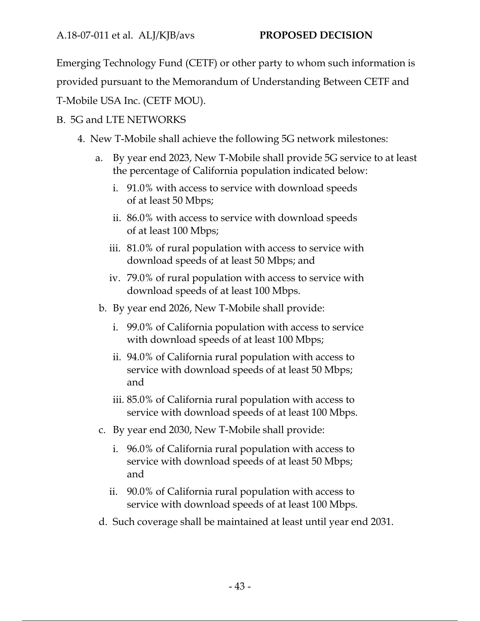A.18‐07‐011 et al. ALJ/KJB/avs **PROPOSED DECISION**

Emerging Technology Fund (CETF) or other party to whom such information is

provided pursuant to the Memorandum of Understanding Between CETF and

T-Mobile USA Inc. (CETF MOU).

# B. 5G and LTE NETWORKS

- 4. New T-Mobile shall achieve the following 5G network milestones:
	- a. By year end 2023, New T-Mobile shall provide 5G service to at least the percentage of California population indicated below:
		- i. 91.0% with access to service with download speeds of at least 50 Mbps;
		- ii. 86.0% with access to service with download speeds of at least 100 Mbps;
		- iii. 81.0% of rural population with access to service with download speeds of at least 50 Mbps; and
		- iv. 79.0% of rural population with access to service with download speeds of at least 100 Mbps.
	- b. By year end 2026, New T-Mobile shall provide:
		- i. 99.0% of California population with access to service with download speeds of at least 100 Mbps;
		- ii. 94.0% of California rural population with access to service with download speeds of at least 50 Mbps; and
		- iii. 85.0% of California rural population with access to service with download speeds of at least 100 Mbps.
	- c. By year end 2030, New T-Mobile shall provide:
		- i. 96.0% of California rural population with access to service with download speeds of at least 50 Mbps; and
		- ii. 90.0% of California rural population with access to service with download speeds of at least 100 Mbps.
	- d. Such coverage shall be maintained at least until year end 2031.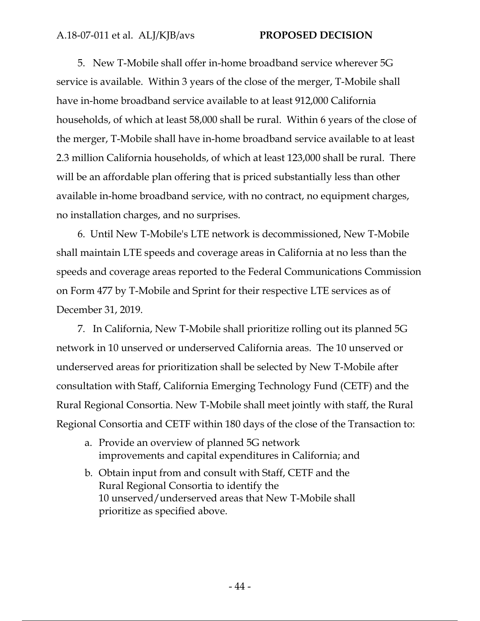5. New T-Mobile shall offer in-home broadband service wherever 5G service is available. Within 3 years of the close of the merger, T-Mobile shall have in-home broadband service available to at least 912,000 California households, of which at least 58,000 shall be rural. Within 6 years of the close of the merger, T-Mobile shall have in-home broadband service available to at least 2.3 million California households, of which at least 123,000 shall be rural. There will be an affordable plan offering that is priced substantially less than other available in-home broadband service, with no contract, no equipment charges, no installation charges, and no surprises.

6. Until New T-Mobile's LTE network is decommissioned, New T-Mobile shall maintain LTE speeds and coverage areas in California at no less than the speeds and coverage areas reported to the Federal Communications Commission on Form 477 by T-Mobile and Sprint for their respective LTE services as of December 31, 2019.

7. In California, New T-Mobile shall prioritize rolling out its planned 5G network in 10 unserved or underserved California areas. The 10 unserved or underserved areas for prioritization shall be selected by New T-Mobile after consultation with Staff, California Emerging Technology Fund (CETF) and the Rural Regional Consortia. New T-Mobile shall meet jointly with staff, the Rural Regional Consortia and CETF within 180 days of the close of the Transaction to:

- a. Provide an overview of planned 5G network improvements and capital expenditures in California; and
- b. Obtain input from and consult with Staff, CETF and the Rural Regional Consortia to identify the 10 unserved/underserved areas that New T-Mobile shall prioritize as specified above.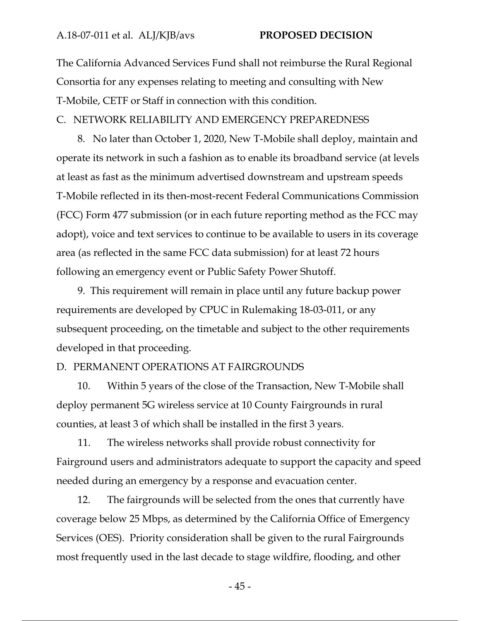The California Advanced Services Fund shall not reimburse the Rural Regional Consortia for any expenses relating to meeting and consulting with New T-Mobile, CETF or Staff in connection with this condition.

C. NETWORK RELIABILITY AND EMERGENCY PREPAREDNESS

8. No later than October 1, 2020, New T-Mobile shall deploy, maintain and operate its network in such a fashion as to enable its broadband service (at levels at least as fast as the minimum advertised downstream and upstream speeds T-Mobile reflected in its then-most-recent Federal Communications Commission (FCC) Form 477 submission (or in each future reporting method as the FCC may adopt), voice and text services to continue to be available to users in its coverage area (as reflected in the same FCC data submission) for at least 72 hours following an emergency event or Public Safety Power Shutoff.

9. This requirement will remain in place until any future backup power requirements are developed by CPUC in Rulemaking 18-03-011, or any subsequent proceeding, on the timetable and subject to the other requirements developed in that proceeding.

#### D. PERMANENT OPERATIONS AT FAIRGROUNDS

10. Within 5 years of the close of the Transaction, New T-Mobile shall deploy permanent 5G wireless service at 10 County Fairgrounds in rural counties, at least 3 of which shall be installed in the first 3 years.

11. The wireless networks shall provide robust connectivity for Fairground users and administrators adequate to support the capacity and speed needed during an emergency by a response and evacuation center.

12. The fairgrounds will be selected from the ones that currently have coverage below 25 Mbps, as determined by the California Office of Emergency Services (OES). Priority consideration shall be given to the rural Fairgrounds most frequently used in the last decade to stage wildfire, flooding, and other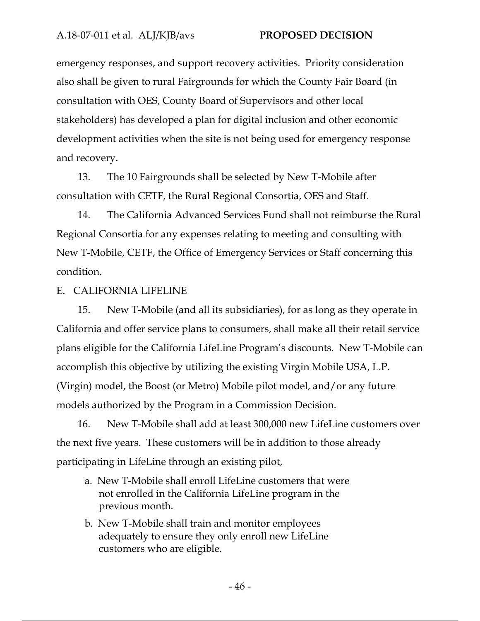emergency responses, and support recovery activities. Priority consideration also shall be given to rural Fairgrounds for which the County Fair Board (in consultation with OES, County Board of Supervisors and other local stakeholders) has developed a plan for digital inclusion and other economic development activities when the site is not being used for emergency response and recovery.

13. The 10 Fairgrounds shall be selected by New T-Mobile after consultation with CETF, the Rural Regional Consortia, OES and Staff.

14. The California Advanced Services Fund shall not reimburse the Rural Regional Consortia for any expenses relating to meeting and consulting with New T-Mobile, CETF, the Office of Emergency Services or Staff concerning this condition.

E. CALIFORNIA LIFELINE

15. New T-Mobile (and all its subsidiaries), for as long as they operate in California and offer service plans to consumers, shall make all their retail service plans eligible for the California LifeLine Program's discounts. New T-Mobile can accomplish this objective by utilizing the existing Virgin Mobile USA, L.P. (Virgin) model, the Boost (or Metro) Mobile pilot model, and/or any future models authorized by the Program in a Commission Decision.

16. New T-Mobile shall add at least 300,000 new LifeLine customers over the next five years. These customers will be in addition to those already participating in LifeLine through an existing pilot,

- a. New T-Mobile shall enroll LifeLine customers that were not enrolled in the California LifeLine program in the previous month.
- b. New T-Mobile shall train and monitor employees adequately to ensure they only enroll new LifeLine customers who are eligible.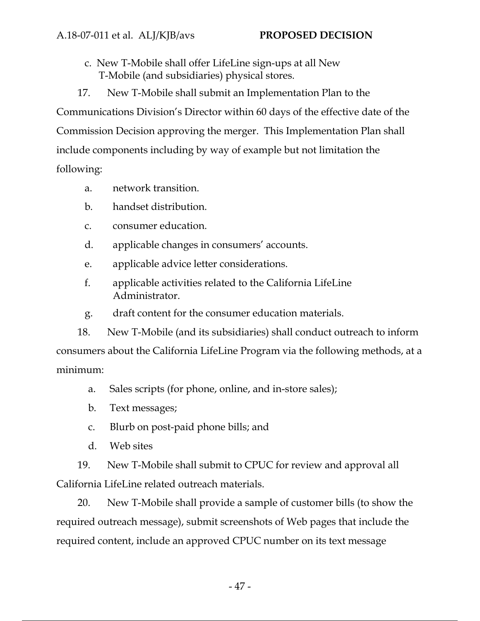c. New T-Mobile shall offer LifeLine sign-ups at all New T-Mobile (and subsidiaries) physical stores.

17. New T-Mobile shall submit an Implementation Plan to the Communications Division's Director within 60 days of the effective date of the Commission Decision approving the merger. This Implementation Plan shall include components including by way of example but not limitation the following:

- a. network transition.
- b. handset distribution.
- c. consumer education.
- d. applicable changes in consumers' accounts.
- e. applicable advice letter considerations.
- f. applicable activities related to the California LifeLine Administrator.
- g. draft content for the consumer education materials.

18. New T-Mobile (and its subsidiaries) shall conduct outreach to inform consumers about the California LifeLine Program via the following methods, at a minimum:

- a. Sales scripts (for phone, online, and in-store sales);
- b. Text messages;
- c. Blurb on post-paid phone bills; and
- d. Web sites

19. New T-Mobile shall submit to CPUC for review and approval all California LifeLine related outreach materials.

20. New T-Mobile shall provide a sample of customer bills (to show the required outreach message), submit screenshots of Web pages that include the required content, include an approved CPUC number on its text message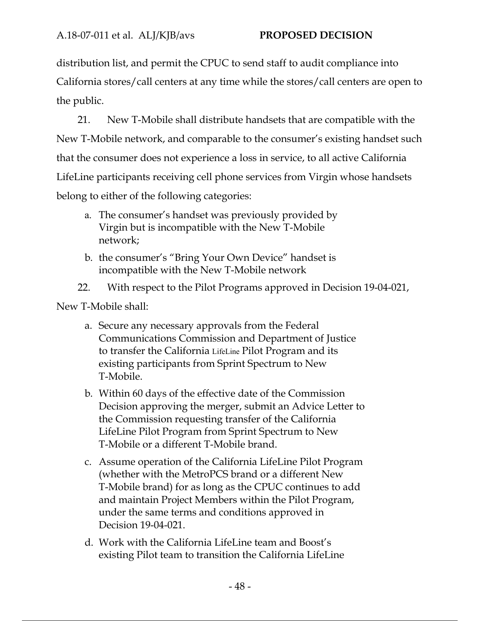distribution list, and permit the CPUC to send staff to audit compliance into California stores/call centers at any time while the stores/call centers are open to the public.

21. New T-Mobile shall distribute handsets that are compatible with the New T-Mobile network, and comparable to the consumer's existing handset such that the consumer does not experience a loss in service, to all active California LifeLine participants receiving cell phone services from Virgin whose handsets belong to either of the following categories:

- a. The consumer's handset was previously provided by Virgin but is incompatible with the New T-Mobile network;
- b. the consumer's "Bring Your Own Device" handset is incompatible with the New T-Mobile network
- 22. With respect to the Pilot Programs approved in Decision 19-04-021,

New T-Mobile shall:

- a. Secure any necessary approvals from the Federal Communications Commission and Department of Justice to transfer the California LifeLine Pilot Program and its existing participants from Sprint Spectrum to New T-Mobile.
- b. Within 60 days of the effective date of the Commission Decision approving the merger, submit an Advice Letter to the Commission requesting transfer of the California LifeLine Pilot Program from Sprint Spectrum to New T-Mobile or a different T-Mobile brand.
- c. Assume operation of the California LifeLine Pilot Program (whether with the MetroPCS brand or a different New T-Mobile brand) for as long as the CPUC continues to add and maintain Project Members within the Pilot Program, under the same terms and conditions approved in Decision 19-04-021.
- d. Work with the California LifeLine team and Boost's existing Pilot team to transition the California LifeLine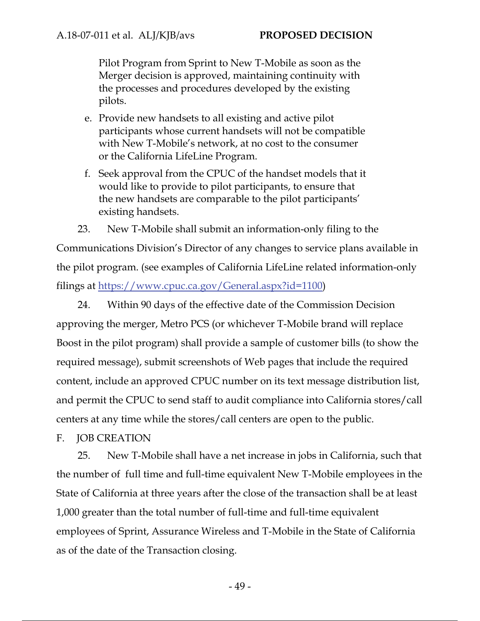Pilot Program from Sprint to New T-Mobile as soon as the Merger decision is approved, maintaining continuity with the processes and procedures developed by the existing pilots.

- e. Provide new handsets to all existing and active pilot participants whose current handsets will not be compatible with New T-Mobile's network, at no cost to the consumer or the California LifeLine Program.
- f. Seek approval from the CPUC of the handset models that it would like to provide to pilot participants, to ensure that the new handsets are comparable to the pilot participants' existing handsets.

23. New T-Mobile shall submit an information-only filing to the Communications Division's Director of any changes to service plans available in the pilot program. (see examples of California LifeLine related information-only filings at https://www.cpuc.ca.gov/General.aspx?id=1100)

24. Within 90 days of the effective date of the Commission Decision approving the merger, Metro PCS (or whichever T-Mobile brand will replace Boost in the pilot program) shall provide a sample of customer bills (to show the required message), submit screenshots of Web pages that include the required content, include an approved CPUC number on its text message distribution list, and permit the CPUC to send staff to audit compliance into California stores/call centers at any time while the stores/call centers are open to the public.

#### F. JOB CREATION

25. New T-Mobile shall have a net increase in jobs in California, such that the number of full time and full-time equivalent New T-Mobile employees in the State of California at three years after the close of the transaction shall be at least 1,000 greater than the total number of full-time and full-time equivalent employees of Sprint, Assurance Wireless and T-Mobile in the State of California as of the date of the Transaction closing.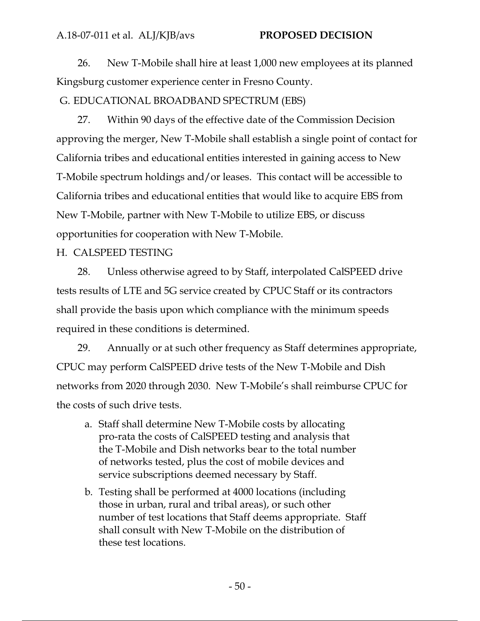#### A.18‐07‐011 et al. ALJ/KJB/avs **PROPOSED DECISION**

26. New T-Mobile shall hire at least 1,000 new employees at its planned Kingsburg customer experience center in Fresno County.

### G. EDUCATIONAL BROADBAND SPECTRUM (EBS)

27. Within 90 days of the effective date of the Commission Decision approving the merger, New T-Mobile shall establish a single point of contact for California tribes and educational entities interested in gaining access to New T-Mobile spectrum holdings and/or leases. This contact will be accessible to California tribes and educational entities that would like to acquire EBS from New T-Mobile, partner with New T-Mobile to utilize EBS, or discuss opportunities for cooperation with New T-Mobile.

#### H. CALSPEED TESTING

28. Unless otherwise agreed to by Staff, interpolated CalSPEED drive tests results of LTE and 5G service created by CPUC Staff or its contractors shall provide the basis upon which compliance with the minimum speeds required in these conditions is determined.

29. Annually or at such other frequency as Staff determines appropriate, CPUC may perform CalSPEED drive tests of the New T-Mobile and Dish networks from 2020 through 2030. New T-Mobile's shall reimburse CPUC for the costs of such drive tests.

- a. Staff shall determine New T-Mobile costs by allocating pro-rata the costs of CalSPEED testing and analysis that the T-Mobile and Dish networks bear to the total number of networks tested, plus the cost of mobile devices and service subscriptions deemed necessary by Staff.
- b. Testing shall be performed at 4000 locations (including those in urban, rural and tribal areas), or such other number of test locations that Staff deems appropriate. Staff shall consult with New T-Mobile on the distribution of these test locations.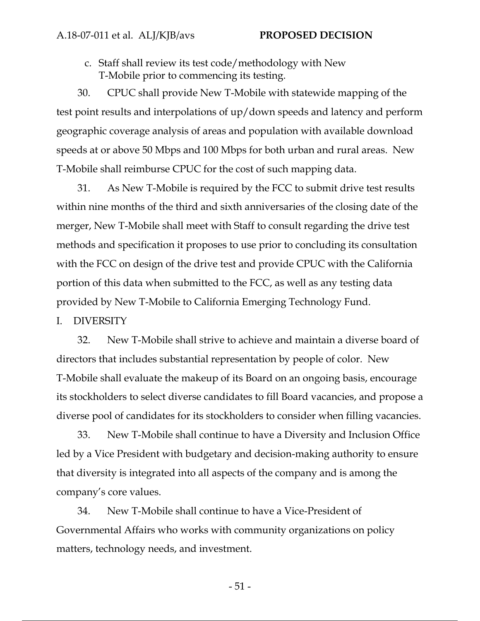c. Staff shall review its test code/methodology with New T-Mobile prior to commencing its testing.

30. CPUC shall provide New T-Mobile with statewide mapping of the test point results and interpolations of up/down speeds and latency and perform geographic coverage analysis of areas and population with available download speeds at or above 50 Mbps and 100 Mbps for both urban and rural areas. New T-Mobile shall reimburse CPUC for the cost of such mapping data.

31. As New T-Mobile is required by the FCC to submit drive test results within nine months of the third and sixth anniversaries of the closing date of the merger, New T-Mobile shall meet with Staff to consult regarding the drive test methods and specification it proposes to use prior to concluding its consultation with the FCC on design of the drive test and provide CPUC with the California portion of this data when submitted to the FCC, as well as any testing data provided by New T-Mobile to California Emerging Technology Fund.

#### I. DIVERSITY

32. New T-Mobile shall strive to achieve and maintain a diverse board of directors that includes substantial representation by people of color. New T-Mobile shall evaluate the makeup of its Board on an ongoing basis, encourage its stockholders to select diverse candidates to fill Board vacancies, and propose a diverse pool of candidates for its stockholders to consider when filling vacancies.

33. New T-Mobile shall continue to have a Diversity and Inclusion Office led by a Vice President with budgetary and decision-making authority to ensure that diversity is integrated into all aspects of the company and is among the company's core values.

34. New T-Mobile shall continue to have a Vice-President of Governmental Affairs who works with community organizations on policy matters, technology needs, and investment.

- 51 -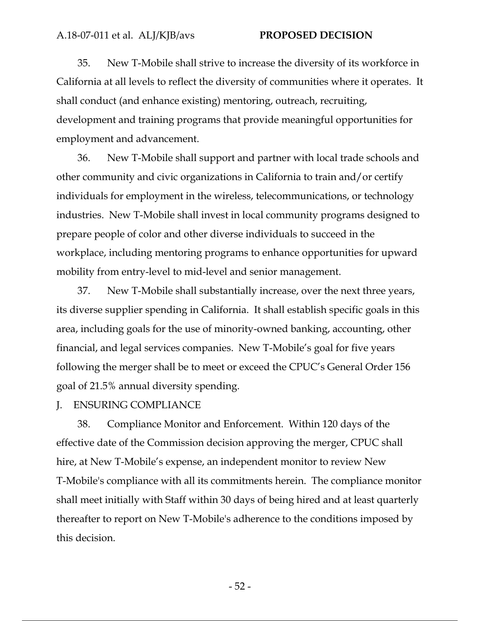35. New T-Mobile shall strive to increase the diversity of its workforce in California at all levels to reflect the diversity of communities where it operates. It shall conduct (and enhance existing) mentoring, outreach, recruiting, development and training programs that provide meaningful opportunities for employment and advancement.

36. New T-Mobile shall support and partner with local trade schools and other community and civic organizations in California to train and/or certify individuals for employment in the wireless, telecommunications, or technology industries. New T-Mobile shall invest in local community programs designed to prepare people of color and other diverse individuals to succeed in the workplace, including mentoring programs to enhance opportunities for upward mobility from entry-level to mid-level and senior management.

37. New T-Mobile shall substantially increase, over the next three years, its diverse supplier spending in California. It shall establish specific goals in this area, including goals for the use of minority-owned banking, accounting, other financial, and legal services companies. New T-Mobile's goal for five years following the merger shall be to meet or exceed the CPUC's General Order 156 goal of 21.5% annual diversity spending.

#### J. ENSURING COMPLIANCE

38. Compliance Monitor and Enforcement. Within 120 days of the effective date of the Commission decision approving the merger, CPUC shall hire, at New T-Mobile's expense, an independent monitor to review New T-Mobile's compliance with all its commitments herein. The compliance monitor shall meet initially with Staff within 30 days of being hired and at least quarterly thereafter to report on New T-Mobile's adherence to the conditions imposed by this decision.

- 52 -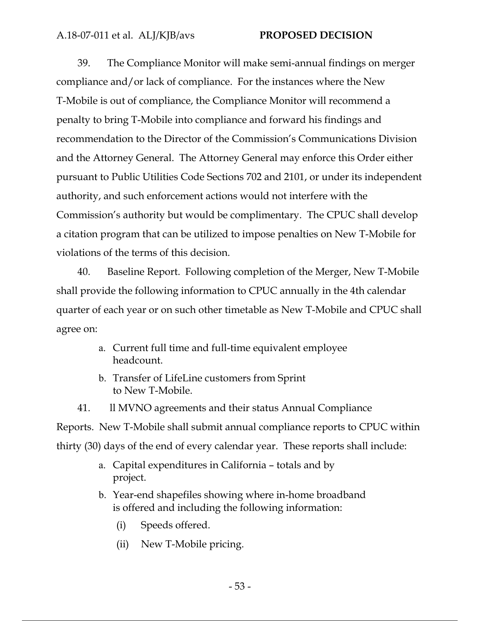39. The Compliance Monitor will make semi-annual findings on merger compliance and/or lack of compliance. For the instances where the New T-Mobile is out of compliance, the Compliance Monitor will recommend a penalty to bring T-Mobile into compliance and forward his findings and recommendation to the Director of the Commission's Communications Division and the Attorney General. The Attorney General may enforce this Order either pursuant to Public Utilities Code Sections 702 and 2101, or under its independent authority, and such enforcement actions would not interfere with the Commission's authority but would be complimentary. The CPUC shall develop a citation program that can be utilized to impose penalties on New T-Mobile for violations of the terms of this decision.

40. Baseline Report. Following completion of the Merger, New T-Mobile shall provide the following information to CPUC annually in the 4th calendar quarter of each year or on such other timetable as New T-Mobile and CPUC shall agree on:

- a. Current full time and full-time equivalent employee headcount.
- b. Transfer of LifeLine customers from Sprint to New T-Mobile.

41. ll MVNO agreements and their status Annual Compliance Reports. New T-Mobile shall submit annual compliance reports to CPUC within thirty (30) days of the end of every calendar year. These reports shall include:

- a. Capital expenditures in California totals and by project.
- b. Year-end shapefiles showing where in-home broadband is offered and including the following information:
	- (i) Speeds offered.
	- (ii) New T-Mobile pricing.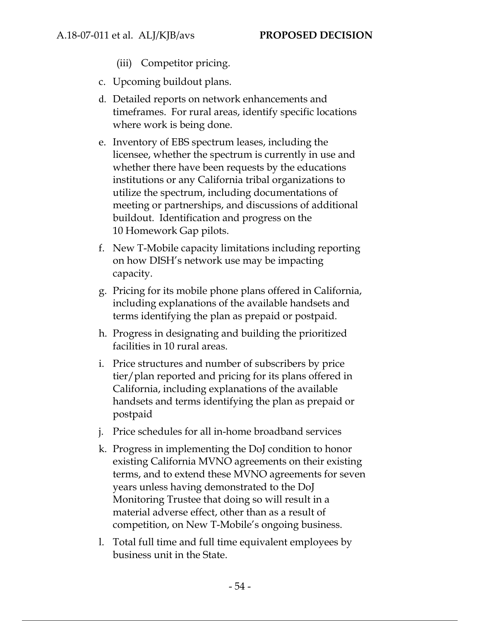(iii) Competitor pricing.

- c. Upcoming buildout plans.
- d. Detailed reports on network enhancements and timeframes. For rural areas, identify specific locations where work is being done.
- e. Inventory of EBS spectrum leases, including the licensee, whether the spectrum is currently in use and whether there have been requests by the educations institutions or any California tribal organizations to utilize the spectrum, including documentations of meeting or partnerships, and discussions of additional buildout. Identification and progress on the 10 Homework Gap pilots.
- f. New T-Mobile capacity limitations including reporting on how DISH's network use may be impacting capacity.
- g. Pricing for its mobile phone plans offered in California, including explanations of the available handsets and terms identifying the plan as prepaid or postpaid.
- h. Progress in designating and building the prioritized facilities in 10 rural areas.
- i. Price structures and number of subscribers by price tier/plan reported and pricing for its plans offered in California, including explanations of the available handsets and terms identifying the plan as prepaid or postpaid
- j. Price schedules for all in-home broadband services
- k. Progress in implementing the DoJ condition to honor existing California MVNO agreements on their existing terms, and to extend these MVNO agreements for seven years unless having demonstrated to the DoJ Monitoring Trustee that doing so will result in a material adverse effect, other than as a result of competition, on New T-Mobile's ongoing business.
- l. Total full time and full time equivalent employees by business unit in the State.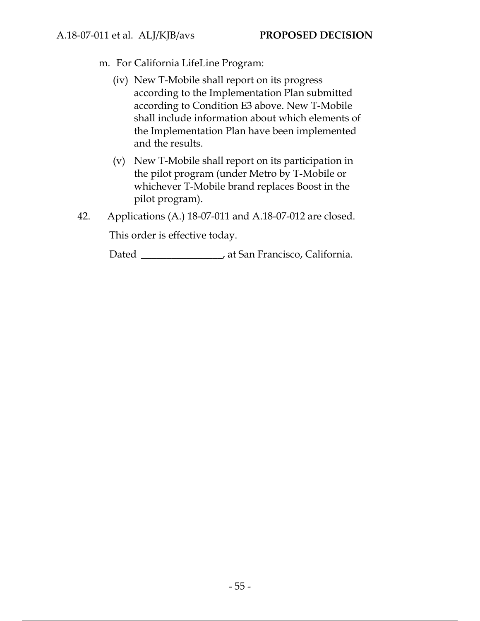m. For California LifeLine Program:

- (iv) New T-Mobile shall report on its progress according to the Implementation Plan submitted according to Condition E3 above. New T-Mobile shall include information about which elements of the Implementation Plan have been implemented and the results.
- (v) New T-Mobile shall report on its participation in the pilot program (under Metro by T-Mobile or whichever T-Mobile brand replaces Boost in the pilot program).
- 42. Applications (A.) 18-07-011 and A.18-07-012 are closed.

This order is effective today.

Dated \_\_\_\_\_\_\_\_\_\_\_\_\_\_\_, at San Francisco, California.